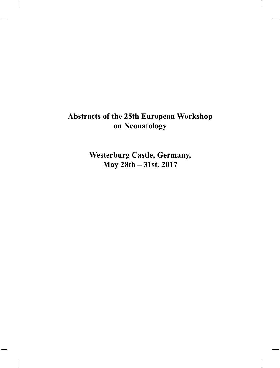# **Abstracts of the 25th European Workshop on Neonatology**

**Westerburg Castle, Germany, May 28th – 31st, 2017**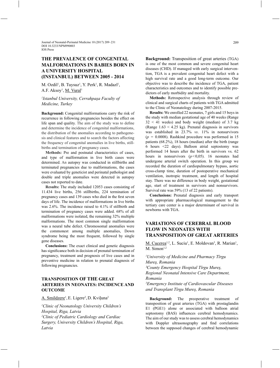# **THE PREVALENCE OF CONGENITAL MALFORMATIONS IN BABIES BORN IN A UNIVERSITY HOSPITAL (INSTANBUL) BETWEEN 2005 - 2014**

M. Ozdil<sup>1</sup>, B. Tuysuz<sup>1</sup>, Y. Perk<sup>1</sup>, R. Madazl<sup>1</sup>, A.F. Aksoy<sup>1</sup>, <u>M. Vural</u><sup>1</sup>

#### *1 Istanbul University, Cerrahpaşa Faculty of Medicine, Turkey*

**Background:** Congenital malformations carry the risk of recurrence in following pregnancies besides the effect on life span and quality. The aim of the study was to define and determine the incidence of congenital malformations, the distribution of the anomalies according to pathogenesis and clinical features and to search the factors affecting the frequency of congenital anomalies in live births, stillbirths and termination of pregnancy cases.

**Methods:** Pre and postnatal characteristics of cases, and type of malformation in live birth cases were determined. An autopsy was conducted in stillbirths and terminated pregnancies due to malformations, the cases were evaluated by geneticist and perinatal pathologist and double and triple anomalies were detected in autopsy cases not reported to date.

**Results:** The study included 12053 cases consisting of 11.434 live births, 256 stillbirths, 224 termination of pregnancy cases and 139 cases who died in the first seven days of life. The incidence of malformations in live births was 2.6%. The incidence raised to 4.1% if stillbirth and termination of pregnancy cases were added. 68% of all malformations were isolated, the remaining 32% multiple malformations. The most common single malformation was a neural tube defect. Chromosomal anomalies were the commonest among multiple anomalies, Down syndrome being the most frequent, followed by single gene diseases.

**Conclusions:** The exact clinical and genetic diagnosis has significance both in decision of prenatal termination of pregnancy, treatment and prognosis of live cases and in preventive medicine in relation to prenatal diagnosis of following pregnancies.

#### **TRANSPOSITION OF THE GREAT ARTERIES IN NEONATES: INCIDENCE AND OUTCOME**

A. Smildzere<sup>1</sup>, E. Ligere<sup>2</sup>, D. Kviļuna<sup>2</sup>

*1 Clinic of Neonatology University Children's Hospital, Riga, Latvia 2 Clinic of Pediatric Cardiology and Cardiac Surgery, University Children's Hospital, Riga, Latvia*

**Background:** Transposition of great arteries (TGA) is one of the most common and severe congenital heart diseases (CHD). If managed with early surgical intervention, TGA is a prevalent congenital heart defect with a high survival rate and a good long-term outcome. Our objective was to describe the incidence of TGA, patient characteristics and outcomes and to identify possible predictors of early morbidity and mortality.

**Methods:** Retrospective analysis through review of clinical and surgical charts of patients with TGA admitted to the Clinic of Neonatology during 2007-2015.

**Results:** We enrolled 22 neonates, 7 girls and 15 boys in the study with median gestational age of 40 weeks (Range  $32 < 41$  weeks) and body weight (median) of 3.7 kg (Range  $1.63 \leq 4.25$  kg). Prenatal diagnosis in survivors was established in 23.7% *vs*. 11% in nonsurvivors  $(p = 0.0008)$ . Rashkind procedure was performed in 15 patients (68.2%), 18 hours (median) after the birth (range 6 hours <22 days). Balloon atrial septostomy was performed 14 hours after the birth in survivors vs. 62 hours in nonsurvivors  $(p<0.05)$ . 16 neonates had undergone arterial switch operation. In this group we recorded the duration of cardiopulmonary bypass, aortic cross-clamp time, duration of postoperative mechanical ventilation, inotropic treatment, and length of hospital stay. There was no difference in body weight, gestational age, start of treatment in survivors and nonsurvivors. Survival rate was 59% (13 of 22 patients).

**Conclusions:** Prenatal diagnosis and early transport with appropriate pharmacological management to the tertiary care center is a major determinant of survival in newborns with TGA.

# **VARIATIONS OF CEREBRAL BLOOD FLOW IN NEONATES WITH TRANSPOSITION OF GREAT ARTERIES**

M. Cucerea<sup>1,2</sup>, L. Suciu<sup>1</sup>, E. Moldovan<sup>3</sup>, R. Marian<sup>1</sup>,  $M$ . Simon<sup>1,2</sup>

*1 University of Medicine and Pharmacy Tîrgu Mureş, Romania ²County Emergency Hospital Tîrgu Mureş, Regional Neonatal Intensive Care Department, Romania 3 Emergency Institute of Cardiovascular Diseases and Transplant Tîrgu Mureş, Romania*

**Background:** The preoperative treatment of transposition of great arteries (TGA) with prostaglandin E1 (PGE1) alone or associated with balloon atrial septostomy (BAS) influences cerebral hemodynamics. The aim of our study was to assess cerebral hemodynamics with Doppler ultrasonography and find correlations between the supposed changes of cerebral hemodynamic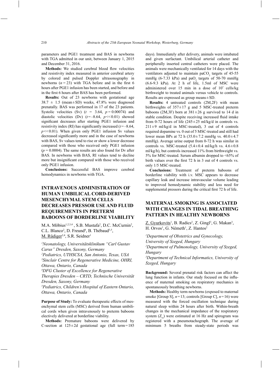parameters and PGE1 treatment and BAS in newborns with TGA admitted in our unit, between January 1, 2015 and December 31, 2016.

**Methods:** We studied cerebral blood flow velocities and resistivity index measured in anterior cerebral artery by colored and pulsed Doppler ultrasonography in newborns  $(n = 23)$  with TGA before and in the first 6 hours after PGE1 infusion has been started, and before and in the first 6 hours after BAS has been performed.

**Results:** Out of 23 newborns with gestational age  $38.7 \pm 1.5$  (mean  $\pm$  SD) weeks, 47.8% were diagnosed prenatally. BAS was performed in 17 of the 23 patients. Systolic velocities (Sv)  $(t = 3.64, p = 0.00074)$  and diastolic velocities (Dv)  $(t = -8.64, p \ll 0.01)$  showed significant decreases after starting PGE1 infusion and resistivity index (RI) has significantly increased  $(t = -8.64$ ,  $p \ll 0.01$ ). When given only PGE1 infusion Sv values decreased significantly more and in the case of newborns with BAS, Sv values tend to rise or show a lower decrease compared with those who received only PGE1 infusion  $(p = 0.0004)$ . The same results are also found for Dv after BAS. In newborns with BAS, RI values tend to decline more but insignificant compared with those who received only PGE1 infusion.

**Conclusions:** Successful BAS improve cerebral hemodynamics in newborns with TGA.

# **INTRAVENOUS ADMINISTRATION OF HUMAN UMBILICAL CORD-DERIVED MESENCHYMAL STEM CELLS DECREASES PRESSOR USE AND FLUID REQUIREMENTS IN PRETERM BABOONS OF BORDERLINE VIABILITY**

M.A. Möbius<sup>1,2,3,4</sup>, S.B. Mustafa<sup>2</sup>, D.C. McCurnin<sup>2</sup>, C.L. Blanco<sup>2</sup>, D. Freund<sup>4</sup>, B. Thébaud<sup>3,5</sup>, M. Rüdiger<sup>2,4</sup>, S.R. Seidner<sup>1</sup>

*1 Neonatology, Universitätsklinikum "Carl Gustav Carus" Dresden, Saxony, Germany 2 Pediatrics, UTHSCSA, San Antonio, Texas, USA 3 Sinclair Centre for Regenerative Medicine, OHRI, Ottawa, Ontario, Canada 4 DFG Cluster of Excellence for Regenerative Therapies Dresden – CRTD, Technische Universität Dresden, Saxony, Germany 5 Pediatrics, Children's Hospital of Eastern Ontario, Ottawa, Ontario, Canada*

**Purpose of Study:** To evaluate therapeutic effects of mesenchymal stem cells (MSC) derived from human umbilical cords when given intravenously to preterm baboons electively delivered at borderline viability.

**Methods:** Premature baboons were delivered by C-section at  $125 \pm 2d$  gestational age (full term = 185)

days). Immediately after delivery, animals were intubated and given surfactant. Umbilical arterial catheter and peripherally inserted central catheters were placed. The animals were mechanically ventilated for 14 days with the ventilators adjusted to maintain  $paCO<sub>2</sub>$  targets of 45-55 mmHg (6-7.33 kPa) and  $paO_2$  targets of 50-70 mmHg  $(6.6-9.3 \text{ kPa})$ . At 2 h of life, 1.5ml of MSC were administered over 15 min in a dose of  $10<sup>7</sup>$  cells/kg birthweight to treated animals versus vehicle to controls. Results are expressed as group means  $\pm$  SD.

**Results:** 4 untreated controls (2M,2F) with mean birthweights of  $357 \pm 17$  g and 5 MSC-treated preterm baboons (2M,3F) born at  $381 \pm 26$  g survived to 14 d in stable condition. Despite receiving increased fluid intake from 0-72 hours of life  $(245 \pm 25 \text{ ml/kg/d} \text{ in controls vs.})$  $211 \pm 9$  ml/kg/d in MSC-treated), 3 out of 4 controls required dopamine vs. 0 out of 5 MSC-treated and still had lower mean BPs at 72 h  $(35.0 \pm 7.2 \text{ mmHg vs. } 40.0 \pm 4.7 \text{ m}^2)$ mmHg). Average urine output from 0-72 h was similar in controls vs. MSC-treated  $(5.4 \pm 0.4 \text{ ml/kg/h vs. } 4.6 \pm 0.8 \text{ m}$ ml/kg/h), but controls increased 11% from birthweight vs. 5% for MSC-treated. Serum albumin dropped to <65% of birth values over the first  $72$  h in 3 out of 4 controls vs. only 1/5 MSC-treated.

**Conclusions:** Treatment of preterm baboons of borderline viability with i.v. MSC appears to decrease capillary leak and increase intravascular volume leading to improved hemodynamic stability and less need for supplemental pressors during the critical first 72 h of life.

#### **MATERNAL SMOKING IS ASSOCIATED WITH CHANGES IN TIDAL BREATHING PATTERN IN HEALTHY NEWBORNS**

Z. Gyurkovits<sup>1</sup>, B. Radics<sup>2</sup>, Z. Gingl<sup>3</sup>, G. Makan<sup>3</sup>, H. Orvos<sup>1</sup>, G. Németh<sup>1</sup>, Z. Hantos<sup>2</sup>

*1 Department of Obstetrics and Gynecology, University of Szeged, Hungary 2 Department of Pulmonology, University of Szeged, Hungary 3 Department of Technical Informatics, University of Szeged, Hungary*

**Background:** Several prenatal risk factors can affect the lung function in infants. Our study focused on the influence of maternal smoking on respiratory mechanics in spontaneously breathing newborns.

**Methods:** Healthy term newborns (exposed to maternal smoke [Group S],  $n=13$ ; controls [Group C],  $n=16$ ) were measured with the forced oscillation technique during natural sleep within 24 hours after birth. Within-breath changes in the mechanical impedance of the respiratory system  $(Z<sub>n</sub>)$  were estimated at 16 Hz and spirogram was registered with a pneumotachograph. The average of minimum 5 breaths from steady-state periods was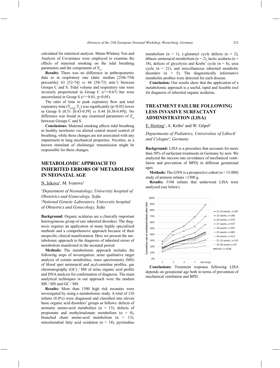calculated for statistical analysis. Mann-Whitney Test and Analysis of Covariance were employed to examine the effects of maternal smoking on the tidal breathing parameters and the components of  $Z_{rs}$ .

**Results:** There was no difference in anthropometric data or in respiratory rate (data: median [25th-75th percentile] 63 [52-74] *vs* 66 [58-73] min-1) between Groups C and S. Tidal volume and respiratory rate were inversely proportional in Group C  $(r^2=0.67)$  but were uncorrelated in Group S  $(r^2=0.01, p<0.05)$ .

The ratio of time to peak expiratory flow and total expiratory time  $(T_{\text{PTEF}}:T_{\text{F}})$  was significantly (p<0.05) lower in Group S (0.51 [0.43-0.59] *vs* 0.44 [0.38-0.49]). No difference was found in any examined parameters of  $Z<sub>r</sub>$ between Groups C and S.

**Conclusions:** Maternal smoking affects tidal breathing in healthy newborns via altered central neural control of breathing, while these changes are not associated with any impairment in lung mechanical properties. Nicotine, as a known stimulant of cholinergic transmission might be responsible for these changes.

# **METABOLOMIC APPROACH TO INHERITED ERRORS OF METABOLISM IN NEONATAL AGE**

<u>N. Jekova</u><sup>1</sup>, M. Ivanova<sup>2</sup>

*1 Department of Neonatology, University hospital of*  **Obstetrics and Gynecology, Sofia** *2 National Genetic Laboratory, University hospital*   $of$  *Obstetrics and Gynecology, Sofia* 

**Background**: Organic acidurias are a clinically important heterogeneous group of rare inherited disorders. The diagnosis requires an application of many highly specialized methods and a comprehensive approach because of their unspecific clinical manifestation. Here we present the metabolomic approach to the diagnosis of inherited errors of metabolism manifested in the neonatal period.

**Methods:** The metabolomic approach includes the following steps of investigation: urine qualitative target analysis of certain metabolites, mass spectrometry (MS) of blood spot aminoacid and acyl-carnitine profiles, gas chromatography  $(GC)$  / MS of urine organic acid profile and DNA analysis for confirmation of diagnosis. The main analytical techniques in our approach were the tandem MS / MS and GC / MS.

**Results:** More than 1500 high risk neonates were investigated by using a metabolomic study. A total of 126 infants  $(8.8\%)$  were diagnosed and classified into eleven basic organic acid disorders' groups as follows: defects of aromatic amino-acid metabolites  $(n = 13)$ , defects of propionate and methylmalonate metabolism  $(n = 8)$ , branched chain amino-acid metabolism (n = 13), mitochondrial fatty acid oxidation ( $n = 14$ ), pyrimidine metabolism (n = 1), γ-glutamyl cycle defects (n = 2), dibasic aminoacid metabolism ( $n = 2$ ), lactic aciduria ( $n =$ 38), defects of glycolysis and Krebs' cycle  $(n = 8)$ , urea cycle  $(n = 21)$ , and miscellaneous inherited metabolic disorders (n = 5). The diagnostically informative metabolite profiles were detected for each disease.

**Conclusion:** Our results show that the application of a metabolomic approach is a useful, rapid and feasible tool for diagnosis of inherited organic acidurias.

#### **TREATMENT FAILURE FOLLOWING LESS INVASIVE SURFACTANT ADMINISTRATION (LISA)**

E. Herting<sup>1</sup>, A. Kribs<sup>2</sup> and W. Göpel<sup>1</sup>

*Departments of Pediatrics, Universities of Lübeck1 and Cologne², Germany*

**Background:** LISA is a procedure that accounts for more than 50% of surfactant treatments in Germany by now. We analyzed the success rate (avoidance of mechanical ventilation and prevention of BPD) in different gestational ages.

**Methods:** The GNN is a prospective cohort  $(n > 15.000)$ study of preterm infants <1500 g.

**Results:** 3108 infants that underwent LISA were analyzed (see below).



**Conclusions:** Treatment response following LISA depends on gestational age both in terms of prevention of mechanical ventilation and BPD.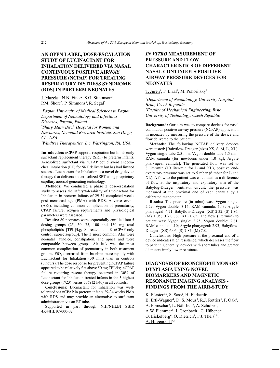# **AN OPEN LABEL, DOSE-ESCALATION STUDY OF LUCINACTANT FOR INHALATION DELIVERED VIA NASAL CONTINUOUS POSITIVE AIRWAY PRESSURE (NCPAP) FOR TREATING RESPIRATORY DISTRESS SYNDROME (RDS) IN PRETERM NEONATES**

<u>J. Mazela</u><sup>1</sup>, N.N. Finer<sup>2</sup>, S.G. Simonson<sup>3</sup>, P.M. Shore<sup>3</sup>, P. Simmons<sup>3</sup>, R. Segal<sup>3</sup>

*1 Poznan University of Medical Sciences in Poznan, Department of Neonatology and Infectious Diseases, Poznan, Poland 2 Sharp Mary Birch Hospital for Women and Newborns, Neonatal Research Institute, San Diego, CA, USA*

*3 Windtree Therapeutics, Inc, Warrington, PA, USA*

**Introduction:** nCPAP supports respiration but limits early surfactant replacement therapy (SRT) to preterm infants. Aerosolized surfactant via nCPAP could avoid endotracheal intubation (ET) for SRT delivery but has had limited success. Lucinactant for Inhalation is a novel drug-device therapy that delivers an aerosolized SRT using proprietary capillary aerosol-generating technology.

**Methods:** We conducted a phase 2 dose-escalation study to assess the safety/tolerability of Lucinactant for Inhalation in preterm infants of 29-34 completed weeks post menstrual age (PMA) with RDS. Adverse events (AEs), including common complication of prematurity, CPAP failure, oxygen requirements and physiological parameters were assessed.

**Results:** 80 neonates were sequentially enrolled into 5 dosing groups  $(25, 50, 75, 100, 150, 150, 150)$ phospholipids [TPL]/kg; 8 treated and 8 nCPAP-only control subjects/group). The 3 most common AEs were neonatal jaundice, constipation, and apnea and were comparable between groups. Air leak was the most common complication of prematurity in both treatment groups.  $FiO<sub>2</sub>$  decreased from baseline more rapidly with Lucinactant for Inhalation (30 min) than in controls (3 hours). The dose response for preventing nCPAP failure appeared to be relatively flat above 50 mg TPL/kg. nCPAP failure requiring rescue therapy occurred in 30% of Lucinactant for Inhalation-treated infants in the 3 highest dose groups  $(7/23)$  versus 53%  $(21/40)$  in all controls.

**Conclusions:** Lucinactant for Inhalation was welltolerated via nCPAP in preterm infants 29-34 weeks PMA with RDS and may provide an alternative to surfactant administration via an ET tube.

Supported in part through NIH/NHLBI SBIR 4R44HL107000-02

# *IN VITRO* **MEASUREMENT OF PRESSURE AND FLOW CHARACTERISTICS OF DIFFERENT NASAL CONTINUOUS POSITIVE AIRWAY PRESSURE DEVICES FOR NEONATES**

T. Juren<sup>1</sup>, F. Lizal<sup>2</sup>, M. Pohorilsky<sup>2</sup>

*1 Department of Neonatology, University Hospital Brno, Czech Republic 2 Faculty of Mechanical Engineering, Brno University of Technology, Czech Republic*

**Background:** Our aim was to compare devices for nasal continuous positive airway pressure (NCPAP) application in neonates by measuring the pressure of the device and flow delivered to the patient.

**Methods:** The following NCPAP delivery devices were tested: [Babyflow-Draeger (sizes XS, S, M, L, XL), Vygon single tube 2.5 mm, Vygon double tube 1.5 mm, RAM cannula (for newborns under 1.0 kg), Argyle pharyngeal cannula]. The generated flow was set to 8 liter/min (10 liter/min for L and XL), positive endexpiratory pressure was set to 5 mbar (6 mbar for L and XL). A flow to the patient was calculated as a difference of flow at the inspiratory and expiratory arm of the Babylog-Draeger ventilator circuit; the pressure was measured at the proximal end of each cannula by a calibrated manometer.

**Results:** The pressure (in mbar) was: Vygon single: 2.29; Vygon double: 3.15; RAM cannula: 1.43; Argyle pharyngeal:  $4,71$ ; Babyflow-Draeger:  $(XS)$  2.32;  $(S)$  1.86; (M)  $1.05$ ; (L)  $0.86$ ; (XL)  $0.65$ . The flow (liter/min) to patient was: Vygon single: 3.25; Vygon double: 2.81; RAM cannula: 4.10; Argyle pharyngeal: 2.93; Babyflow-Draeger: (XS) 6.06; (S) 7.87; (M) 7.8.

**Conclusions:** High pressure at the proximal end of a device indicates high resistance, which decreases the flow to patient. Generally, devices with short tubes and greater diameters imply lower resistance.

#### **DIAGNOSIS OF BRONCHOPULMONARY DYSPLASIA USING NOVEL BIOMARKERS AND MAGNETIC RESONANCE IMAGING ANALYSIS - FINDINGS FROM THE AIRR-STUDY**

- K. Förster<sup>1,6</sup>, S. Sass<sup>2</sup>, H. Ehrhardt<sup>3</sup>,
- B. Ertl-Wagner<sup>4</sup>, D. S. Mous<sup>5</sup>, R.J. Rottier<sup>5</sup>, P. Oak<sup>6</sup>,
- A. Pomschar<sup>4</sup>, L. Nährlich<sup>3</sup>, A. Schulze<sup>1</sup>,
- A.W. Flemmer<sup>1</sup>, J. Gronbach<sup>3</sup>, C. Hübener<sup>7</sup>,
- O. Eickelberg<sup>6</sup>, O. Dietrich<sup>4</sup>, F.J. Theis<sup>2,8</sup>,
- A. Hilgendorff<sup>1,6</sup>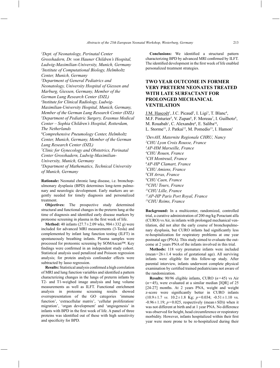*1 Dept. of Neonatology, Perinatal Center Grosshadern, Dr. von Hauner Children's Hospital, Ludwig-Maximilian-University, Munich, Germany 2 Institute of Computational Biology, Helmholtz Center, Munich, Germany 3 Department of General Pediatrics and Neonatology, University Hospital of Giessen and Marburg, Giessen, Germany, Member of the German Lung Research Center (DZL) 4 Institute for Clinical Radiology, Ludwig-Maximilian-University Hospital, Munich, Germany, Member of the German Lung Research Center (DZL) 5 Department of Pediatric Surgery, Erasmus Medical Center – Sophia Children's Hospital, Rotterdam, The Netherlands 6 Comprehensive Pneumology Center, Helmholtz Center, Munich, Germany, Member of the German* 

*Lung Research Center (DZL)*

*7 Clinic for Gynecology and Obstetrics, Perinatal Center Grosshadern, Ludwig-Maximilian-University, Munich, Germany*

*8 Department of Mathematics, Technical University of Munich, Germany*

**Rationale:** Neonatal chronic lung disease, i.e. bronchopulmonary dysplasia (BPD) determines long-term pulmonary and neurologic development. Early markers are urgently needed for timely diagnosis and personalized treatment.

**Objectives:** The prospective study determined structural and functional changes in the preterm lung at the time of diagnosis and identified early disease markers by proteome screening in plasma in the first week of life.

**Method:** 40 infants  $(27.7 \pm 2.09 \text{ wks}, 984 \pm 332 \text{ g})$  were included for advanced MRI measurements (3-Tesla) and complemented by infant lung function testing (ILFT) in spontaneously breathing infants. Plasma samples were processed for proteomic screening by SOMAscan™. Key findings were confirmed in an independent study cohort. Statistical analysis used penalized and Poisson regression analysis; for protein analysis confounder effects were subtracted by lasso regression.

**Results:** Statistical analysis confirmed a high correlation of MRI and lung function variables and identified a pattern characterizing changes in the lungs of preterm infants by T2- and T1-weighed image analysis and lung volume measurements as well as ILFT. Functional enrichment analysis in proteome screening results showed overrepresentation of the GO categories 'immune function', 'extracellular matrix', 'cellular proliferation/ migration', 'organ development' and 'angiogenesis' in infants with BPD in the first week of life. A panel of three proteins was identified out of these with high sensitivity and specificity for BPD.

**Conclusions:** We identified a structural pattern characterizing BPD by advanced MRI confirmed by ILFT. The identified development in the first week of life enabled personalized treatment strategies.

#### **TWO YEAR OUTCOME IN FORMER VERY PRETERM NEONATES TREATED WITH LATE SURFACTANT FOR PROLONGED MECHANICAL VENTILATION**

<u>J.M. Hascoët<sup>1</sup></u>, J.C. Picaud<sup>2</sup>, I. Ligi<sup>3</sup>, T. Blanc<sup>4</sup>, M.F. Pinturier<sup>5</sup>, V. Zupan<sup>6</sup>, F. Moreau<sup>7</sup>, I. Guilhoto<sup>8</sup>, M. Rouabah<sup>1</sup>, C. Alexandre<sup>9</sup>, E. Saliba<sup>10</sup>, L. Storme<sup>11</sup>, J. Patkai<sup>12</sup>, M. Pomedio<sup>13</sup>, I. Hamon<sup>1</sup>

 *DevAH, Maternite Regionale CHRU, Nancy CHU Lyon Croix Rousse, France AP-HM Marseille, France CHU Rouen, France CH Montreuil, France AP-HP Clamart, France CHU Amiens, France CH Arras, France CHU Caen, France 10CHU Tours, France 11CHU Lille, France 12AP-HP Paris Port Royal, France 13CHU Reims, France*

**Background:** In a multicenter, randomized, controlled trial, a curative administration of 200 mg/kg Poractant alfa (CURO) vs Air, in infants with prolonged mechanical ventilation, did not alter the early course of bronchopulmonary dysplasia, but CURO infants had significantly less re-hospitalization for respiratory problems at one year postnatal age (PNA). This study aimed to evaluate the outcome at 2 years PNA of the infants involved in this trial.

**Methods:** 118 very premature infants were included (mean= $26 \pm 1.4$  weeks of gestational age). All surviving infants were eligible for this follow-up study. After parental interview, infants underwent complete physical examination by certified trained pediatricians not aware of the randomization.

**Results:** 90/96 eligible infants, CURO  $(n=45)$  vs Air  $(n=45)$ , were evaluated at a similar median [IQR] of 25 [24-27] months. At 2 years PNA, weight and weight z-score were significantly better in CURO infants  $(10.9 \pm 1.7 \text{ vs. } 10.2 \pm 1.8 \text{ Kg}; p = 0.034; -0.51 \pm 1.10 \text{ vs. }$  $-0.96 \pm 1.19$ ;  $p = 0.025$ , respectively (mean  $\pm$  SD)) when it was not different at birth and at 1 year PNA. No difference was observed for height, head circumference or respiratory morbidity. However, infants hospitalized within their first year were more prone to be re-hospitalized during their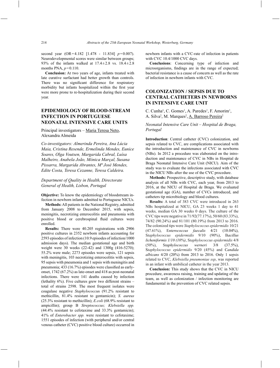second year  $(OR = 4.182 \mid 1.478 - 11.834] p = 0.007)$ . Neurodevelopmental scores were similar between groups; 93% of the infants walked at  $17.4 \pm 2.8$  vs.  $18.4 \pm 2.8$ months PNA,  $p=0.110$ .

**Conclusion:** At two years of age, infants treated with late curative surfactant had better growth than controls. There was no significant difference for respiratory morbidity but infants hospitalized within the first year were more prone to re-hospitalization during their second year.

#### **EPIDEMIOLOGY OF BLOOD-STREAM INFECTION IN PORTUGUESE NEONATAL INTENSIVE CARE UNITS**

Principal investigators – Maria Teresa Neto, Alexandra Almeida

*Co-investigators: Almerinda Pereira, Ana Lúcia Maia, Cristina Resende, Ermelinda Mendes, Eunice Soares, Olga Voutsen, Margarida Cabral, Luísa Malheiro, Anabela João, Mónica Marçal, Susana Pissarra, Margarida Abrantes, Mª José Mendes, Edite Costa, Teresa Cezanne, Teresa Caldeira.*

#### *Department of Quality in Health, Directorate General of Health, Lisbon, Portugal*

**Objective:** To know the epidemiology of bloodstream infection in newborn infants admitted to Portuguese NICUs.

**Methods:** All patients in the National Registry, admitted from January 2008 to December 2015, with sepsis, meningitis, necrotizing enterocolitis and pneumonia with positive blood or cerebrospinal fluid cultures were enrolled.

**Results:** There were 40.205 registrations with 2906 positive cultures in 2352 newborn infants accounting for 2593 episodes of infection (10.9 episodes of infection/1000 admission days). The median gestational age and birth weight were 30 weeks (22-42) and 1300g (416-5270); 55.2% were male; 2273 episodes were sepsis, 121 sepsis with meningitis, 103 necrotizing enterocolitis with sepsis, 95 sepsis with pneumonia and 1 sepsis with meningitis and pneumonia;  $433$  (16.7%) episodes were classified as earlyonset, 1742 (67.2%) as late-onset and 418 as post-neonatal infections. There were 141 deaths caused by infection (lethality  $6\%$ ). Five cultures grew two different strains – total of strains 2598. The most frequent isolates were coagulase negative *Staphylococcu*s (91.2% resistant to methicillin, 81.4% resistant to gentamicin); *S. aureus*  (25.3% resistant to methicillin); *E.coli* (68.9% resistant to ampicillin); group B *Streptococcus; Klebsiella spp.*  (44.4% resistant to cefotaxime and 33.3% gentamicin); 41% of *Enterobacter spp.* were resistant to cefotaxime; 1551 episodes of infection (with peripheral and/or central venous catheter (CVC) positive blood culture) occurred in newborn infants with a CVC-rate of infection in patients with CVC 10.4/1000 CVC days.

**Conclusions**: Concerning type of infection and microorganisms, findings are in the range of expected; bacterial resistance is a cause of concern as well as the rate of infection in newborn infants with CVC.

# **COLONIZATION / SEPSIS DUE TO CENTRAL CATHETERS IN NEWBORNS IN INTENSIVE CARE UNIT**

C. Cunha<sup>1</sup>, C. Gomes<sup>1</sup>, A. Paredes<sup>1</sup>, F. Amorim<sup>1</sup>, A. Silva<sup>2</sup>, M. Marques<sup>2</sup>, A. Barroso Pereira<sup>2</sup>

#### *Neonatal Intensive Care Unit – Hospital de Braga, Portugal*

**Introduction**: Central catheter (CVC) colonization, and sepsis related to CVC, are complications associated with the introduction and maintenance of CVC in newborns (NBs). In 2012 a procedure was elaborated on the introduction and maintenance of CVC in NBs in Hospital de Braga Neonatal Intensive Care Unit (NICU). Aim of the study was to evaluate the infections associated with CVC in the NICU NBs after the use of the CVC procedure.

**Methods:** Prospective, descriptive study, with database analysis of all NBs with CVC, each year, from 2013 to 2016, at the NICU of Hospital de Braga. We evaluated gestational age (GA), number of CVCs introduced, and catheters tip microbiology and blood cultures.

**Results:** A total of 383 CVC were introduced in 263 NBs hospitalized at NICU, GA 23 weeks 1 day to 41 weeks, median GA 30 weeks 0 days. The culture of the CVC tips were negative in 71/92(77.17%), 50/60 (83.33%), 74/82 (90.24%) and 81/101 (80.19%) from 2013 to 2016. The colonized tips were *Staphylococcus epidermidis* 10/21 (47.61%), E*nterococcus faecalis* 4/21 (10.04%), S*taphylococcus epidermidis* 9/10 (90%), B*acillus licheniformis 1/10 (10%)*, S*taphylococcus epidermidis* 4/8 (50%), S*taphylococcus werneri* 3/8 (37.5%), S*taphylococcus epidermidis* 9/20 (45%) and C*andida albicans* 4/20 (20%) from 2013 to 2016. Only 1 sepsis related to CVC, *Klebsiella pneumoniae ssp*, was reported in an infant with umbilical catheter in the year 2013.

**Conclusion:** This study shows that the CVC in NICU procedure, awareness raising, training and updating of the team, as well as colonization / infection monitoring are fundamental in the prevention of CVC related sepsis.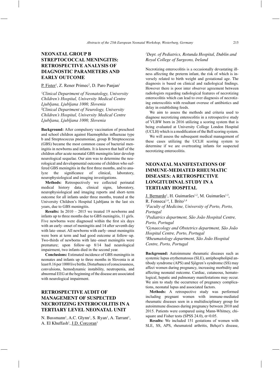#### **NEONATAL GROUP B STREPTOCOCCAL MENINGITIS: RETROSPECTIVE ANALYSIS OF DIAGNOSTIC PARAMETERS AND EARLY OUTCOME**

#### P. Fister<sup>1</sup>, Z. Rener Primec<sup>2</sup>, D. Paro Panjan<sup>1</sup>

*1 Clinical Department of Neonatology, University Children's Hospital, University Medical Centre Ljubljana, Ljubljana 1000, Slovenia 2 Clinical Department of Neurology, University Children's Hospital, University Medical Centre Ljubljana, Ljubljana 1000, Slovenia*

**Background:** After compulsory vaccination of preschool and school children against Haemophilus influenzae type b and Streptococcus pneumoniae, group B Streptococcus (GBS) became the most common cause of bacterial meningitis in newborns and infants. It is known that half of the children after acute neonatal GBS meningitis later develop neurological sequelae. Our aim was to determine the neurological and developmental outcome of children who suffered GBS meningitis in the first three months, and to analyze the significance of clinical, laboratory, neurophysiological and imaging investigations.

**Methods:** Retrospectively we collected perinatal medical history data, clinical signs, laboratory, neurophysiological and imaging reports and short–term outcome for all infants under three months, treated at the University Children's Hospital Ljubljana in the last six years, due to GBS meningitis.

**Results:** In 2010 – 2015 we treated 19 newborns and infants up to three months due to GBS meningitis, 11 girls. Five newborns were diagnosed within the first six days with an early–onset of meningitis and 14 after seventh day with late–onset. All newborns with early–onset meningitis were born at term and had good outcome at follow–up. Two-thirds of newborns with late–onset meningitis were premature; upon follow–up 8/14 had neurological impairment, two infants died in the second year.

**Conclusions:** Estimated incidence of GBS meningitis in neonates and infants up to three months in Slovenia is at least 0.16 per 1000 live births. Disturbance of consciousness, convulsions, hemodynamic instability, neutropenia, and abnormal EEG at the beginning of the disease are associated with neurological impairment.

# **RETROSPECTIVE AUDIT OF MANAGEMENT OF SUSPECTED NECROTIZING ENTEROCOLITIS IN A TERTIARY LEVEL NEONATAL UNIT**

N. Bussmann<sup>1</sup>, A.C. Glynn<sup>1</sup>, S. Ryan<sup>1</sup>, A. Tarrant<sup>1</sup>, A. El Khuffash<sup>1</sup>, J.D. Corcoran<sup>1</sup>

#### *1 Dept. of Pediatrics, Rotunda Hospital, Dublin and Royal College of Surgeons, Ireland*

Necrotizing enterocolitis is a occasionally devastating illness affecting the preterm infant, the risk of which is inversely related to birth weight and gestational age. The diagnosis is based on clinical and radiological findings. However there is poor inter observer agreement between radiologists regarding radiological features of necrotizing enterocolitis which can lead to over diagnosis of necrotizing enterocolitis with resultant overuse of antibiotics and delay in establishing feeds.

We aim to assess the methods and criteria used to diagnose necrotizing enterocolitis in a retrospective study of VLBW born in 2016 utilizing a scoring system that is being evaluated at University College London Hospital (UCLH) which is a modification of the Bell scoring system.

We will assess the subsequent medical management of these cases utilizing the UCLH scoring system to determine if we are overtreating infants for suspected necrotizing enterocolitis.

# **NEONATAL MANIFESTATIONS OF IMMUNE-MEDIATED RHEUMATIC DISEASES: A RETROSPECTIVE LONGITUDINAL STUDY IN A TERTIARY HOSPITAL**

J. Bernardo<sup>1</sup>, H. Guimarães<sup>1,2</sup>, M. Guimarães<sup>1,3</sup>, R. Fonseca<sup>1,4</sup>, I. Brito<sup>1,4</sup> *1 Faculty of Medicine, University of Porto, Porto, Portugal 2 Pediatrics department, São João Hospital Centre, Porto, Portugal 3 Gynaecology and Obstetrics department, São João Hospital Centre, Porto, Portugal 4 Rheumatology department, São João Hospital Centre, Porto, Portugal*

**Background:** Autoimmune rheumatic diseases such as systemic lupus erythematosus (SLE), antiphospholipid antibody syndrome (APS) and Sjögren's syndrome (SS) may affect women during pregnancy, increasing morbidity and affecting neonatal outcome. Cardiac, cutaneous, hematological, hepatic and pulmonary manifestations may occur. We aim to study the occurrence of pregnancy complications, neonatal lupus and associated factors.

**Methods:** A retrospective study was performed including pregnant women with immune-mediated rheumatic diseases seen in a multidisciplinary group for autoimmune diseases during pregnancy between 2010 and 2015. Patients were compared using Mann-Whitney, chisquare and Fisher tests (SPSS 24.0),  $\alpha$ <0.05.

**Results:** We included 151 gestations of women with SLE, SS, APS, rheumatoid arthritis, Behçet's disease,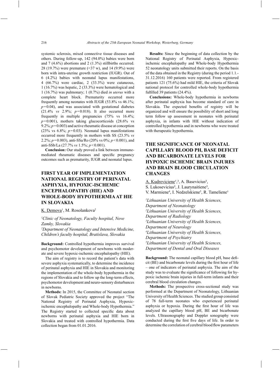systemic sclerosis, mixed connective tissue diseases and others. During follow-up, 142 (94.0%) babies were born and 7 (4.6%) abortions and 2 (1.3%) stillbirths occurred. 28 (19.7%) were premature  $(< 37 \text{ w})$ , and 14 (9.9%) were born with intra-uterine growth restriction (IUGR). Out of 6 (4.2%) babies with neonatal lupus manifestations, 4 (66.7%) were cardiac, 2 (33.3%) were cutaneous, 1 (16.7%) was hepatic, 2 (33.3%) were hematological and 1 (16.7%) was pulmonary; 1 (0.7%) died *in uterus* with a complete heart block. Prematurity occurred more frequently among neonates with IUGR (53.8% vs 46.1%;  $p=0.04$ ), and was associated with gestational diabetes  $(21.4\% \text{ vs } 2.9\%; p=0.018)$ . It also occurred more frequently in multiple pregnancies (75% vs 16.4%;  $p=0.001$ ), mothers taking glucocorticoids  $(28.6\%$  vs  $9.2\%$ ;  $p = 0.003$ ) and active rheumatic disease at conception  $(23\% \text{ vs } 6.8\%; p=0.03)$ . Neonatal lupus manifestations occurred more frequently in mothers with SS (23.5% *vs* 2.2%; *p* = 0.003), anti-SSa/Ro (20% vs 0%; *p* < 0.001), and anti-SSb/La (27.7% *vs* 1.5%; *p* < 0.001).

**Conclusion:** Our study proved a link between immunemediated rheumatic diseases and specific pregnancy outcomes such as prematurity, IUGR and neonatal lupus.

# **FIRST YEAR OF IMPLEMENTATION NATIONAL REGISTRY OF PERINATAL ASPHYXIA, HYPOXIC-ISCHEMIC ENCEPHALOPATHY (HIE) AND WHOLE-BODY HYPOTHERMIA AT HIE IN SLOVAKIA**

K. Demova<sup>1</sup>, M. Rosolankova<sup>2</sup>

*1 Clinic of Neonatology, Faculty hospital, Nove Zamky, Slovakia*

*2 Department of Neonatology and Intensive Medicine, Children's faculty hospital, Bratislava, Slovakia*

**Background:** Controlled hypothermia improves survival and psychomotor development of newborns with moderate and severe hypoxic-ischemic encephalopathy (HIE).

The aim of registry is to record the patient's data with severe asphyxia systematically, to determine the incidence of perinatal asphyxia and HIE in Slovakia and monitoring the implementation of the whole-body hypothermia in the regions of Slovakia and to follow up the long-term effects, psychomotor development and neuro-sensory disturbances in newborns.

**Methods:** In 2015, the Committee of Neonatal section of Slovak Pediatric Society approved the project "The National Registry of Perinatal Asphyxia, Hypoxicischemic encephalopathy and Whole-body Hypothermia." The Registry started to collected specific data about newborns with perinatal asphyxia and HIE born in Slovakia and treated with controlled hypothermia. Data collection began from 01.01.2016.

**Results:** Since the beginning of data collection by the National Registry of Perinatal Asphyxia, Hypoxicischemic encephalopathy and Whole-body Hypothermia 52 neonatology units submitted their reports. On the basis of the data obtained in the Registry (during the period 1.1.- 31.12.2016) 160 patients were reported. From registered patients 121 (75.6%) had mild HIE, the criteria of Slovak national protocol for controlled whole-body hypothermia fulfilled 39 patients  $(24.4\%)$ .

**Conclusions:** Whole-body hypothermia in newborns after perinatal asphyxia has become standard of care in Slovakia. The expected benefits of registry will be organized and will ensure the possibility of short and long term follow up assessment in neonates with perinatal asphyxia, in infants with HIE without indication of controlled hypothermia and in newborns who were treated with therapeutic hypothermia.

# **THE SIGNIFICANCE OF NEONATAL CAPILLARY BLOOD PH, BASE DEFICIT AND BICARBONATE LEVELS FOR HYPOXIC ISCHEMIC BRAIN INJURES AND BRAIN BLOOD CIRCULATION CHANGES**

A. Kudreviciene<sup>1</sup>,<sup>2</sup>, A. Basevicius<sup>2</sup>, S. Lukosevicius<sup>2</sup>, J. Laurynaitiene<sup>3</sup>, V. Marmiene<sup>4</sup>, I. Nedzelskiene<sup>5</sup>, R. Tameliene<sup>1</sup>

*1 Lithuanian University of Health Sciences, Department of Neonatology 2 Lithuanian University of Health Sciences, Department of Radiology 3 Lithuanian University of Health Sciences, Department of Neurology 4 Lithuanian University of Health Sciences, Department of Psychiatry 5 Lithuanian University of Health Sciences, Department of Dental and Oral Diseases*

**Background:** The neonatal capillary blood pH, base deficit (BE) and bicarbonate levels during the first hour of life – one of indicators of perinatal asphyxia. The aim of the study was to evaluate the significance of following for hypoxic ischemic brain injuries in full-term infants and their cerebral blood circulation changes.

**Methods:** The prospective cross-sectional study was performed at the Department of Neonatology, Lithuanian University of Health Sciences. The studied group consisted of 78 full-term neonates who experienced perinatal asphyxia or hypoxia. During the first hour of life was analyzed the capillary blood pH, BE and bicarbonate levels. Ultrasonography and Doppler sonography were conducted during the first five days of life. In order to determine the correlation of cerebral blood flow parameters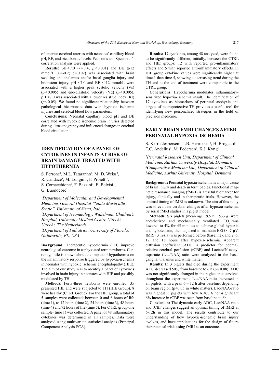of anterior cerebral arteries with neonates' capillary blood pH, BE, and bicarbonate levels, Pearson's and Spearman's correlation analysis were applied.

**Results:**  $pH \le 7.0$  ( $r=0.4$ ;  $p \le 0.001$ ) and BE  $\le 12$ mmol/L  $(r = -0.2; p = 0.02)$  was associated with brain swelling and thalamus and/or basal ganglia injury and brainstem injury. pH  $\leq 7.0$  and BE  $\leq -12$  mmol/L were associated with a higher peak systolic velocity (Vs)  $(p<0.005)$  and end-diastolic velocity (Vd)  $(p<0.005)$ . pH <7.0 was associated with a lower resistive index (RI)  $(p<0.05)$ . We found no significant relationship between pathological bicarbonate data with hypoxic ischemic injuries and cerebral blood flow parameters.

**Conclusions:** Neonatal capillary blood pH and BE correlated with hypoxic ischemic brain injuries detected during ultrasonography and influenced changes in cerebral blood circulation.

# **IDENTIFICATION OF A PANEL OF CYTOKINES IN INFANTS AT RISK OF BRAIN DAMAGE TREATED WITH HYPOTHERMIA**

S. Perrone<sup>1</sup>, M.L. Tataranno<sup>2</sup>, M. D. Weiss<sup>3</sup>, R. Candace<sup>3</sup>, M. Longini<sup>1</sup>, F. Proietti<sup>1</sup>, S. Cornacchione<sup>1</sup>, F. Bazzini<sup>1</sup>, E. Belvisi<sup>1</sup>,  $G.$  Buonocore<sup>1</sup>

*1 Department of Molecular and Developmental Medicine, General Hospital "Santa Maria alle Scotte", University of Siena, Italy 2 Department of Neonatology, Wilhelmina Children's Hospital, University Medical Centre Utrecht, Utrecht, The Netherlands 3 Department of Pediatrics, University of Florida, Gainesville, FL, USA*

**Background:** Therapeutic hypothermia (TH) improve neurological outcome in asphyxiated term newborns. Currently, little is known about the impact of hypothermia on the inflammatory response triggered by hypoxia-ischemia in neonates with hypoxic ischemic encephalopathy (HIE). The aim of our study was to identify a panel of cytokines involved in brain injury in neonates with HIE and possibly modulated by TH.

**Methods**: Forty-three newborns were enrolled: 35 presented HIE and were subjected to TH (HIE Group), 8 were healthy (CTRL Group). For the HIE group, a total of 5 samples were collected: between 0 and 6 hours of life  $time 1$ , to 12 hours (time 2), 24 hours (time 3), 48 hours (time 4) and 72 hours of life (time 5). For CTRL group one sample (time 1) was collected. A panel of 48 inflammatory cytokines was determined in all samples. Data were analyzed using multivariate statistical analysis (Principal Component Analysis-PCA).

**Results:** 17 cytokines, among 48 analyzed, were found to be significantly different, initially, between the CTRL and HIE groups: 12 with reported pro-inflammatory effects and 5 with reported anti-inflammatory effects. In HIE group cytokine values were significantly higher at time 1 than time 5, showing a decreasing trend during the TH and at the end of treatment were comparable to the CTRL group.

Conclusions: Hypothermia modulates inflammatorysensitized hypoxia-ischemia insult. The identification of 17 cytokines as biomarkers of perinatal asphyxia and targets of neuroprotective TH provides a useful tool for identifying new personalized strategies in the field of precision medicine.

#### **EARLY BRAIN FMRI CHANGES AFTER PERINATAL HYPOXIA-ISCHEMIA**

S. Kerrn-Jespersen<sup>1</sup>, T.B. Henriksen<sup>1</sup>, H. Brogaard<sup>1</sup>, T.C. Andelius<sup>1</sup>, M. Pedersen<sup>2</sup>, <u>K.J. Kyng</u><sup>1</sup>

*1 Perinatal Research Unit, Department of Clinical Medicine, Aarhus University Hospital, Denmark 2 Comparative Medicine Lab, Department of Clinical Medicine, Aarhus University Hospital, Denmark*

**Background:** Perinatal hypoxia-ischemia is a major cause of brain injury and death in term babies. Functional magnetic resonance imaging (fMRI) is a useful biomarker for injury, clinically and in therapeutic trials. However, the optimal timing of fMRI is unknown. The aim of this study was to evaluate cerebral changes after hypoxia-ischemia by serial fMRI studies in a piglet model.

**Methods:** Six piglets (mean age 19.5 h; 1533 g) were anesthetized and mechanically ventilated.  $F_iO_2$  was lowered to 4% for 45 minutes to achieve global hypoxia and hypotension, then adjusted to maintain EEG  $\leq$  7 µV. fMRI (3 Tesla) was performed before (baseline), and 2, 6, 12 and 18 hours after hypoxia-ischemia. Apparent diffusion coefficient (ADC: a predictor for edema), relative cerebral perfusion (rCBF) and Lactate/N-acetyl aspartate (Lac/NAA)-ratio were analyzed in the basal ganglia, thalamus and white matter.

**Results:** In 3 piglets that died during the experiment ADC decreased 50% from baseline to 6 h  $(p=0.08)$ . ADC was not significantly changed in the piglets that survived throughout the experiment. Lac/NAA-ratio increased in all piglets, with a peak  $6 - 12$  h after baseline, depending on brain region (p<0.05 in white matter). Lac/NAA-ratio was highest in piglets with low ADC. A non-significant 6% increase in rCBF was seen from baseline to 6h.

**Conclusion:** The dynamic early ADC, Lac/NAA-ratio and rCBF changes suggest an optimal timing of fMRI at 6-12h in this model. The results contribute to our understanding of how hypoxic-ischemic brain injury evolves, and have implications for the design of future therapeutical trials using fMRI as an outcome.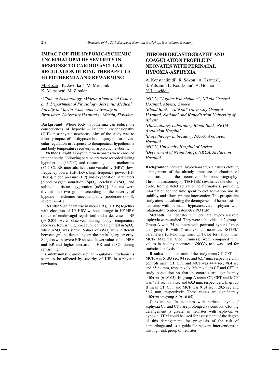#### **IMPACT OF THE HYPOXIC-ISCHEMIC ENCEPHALOPATHY SEVERITY IN RESPONSE TO CARDIOVASCULAR REGULATION DURING THERAPEUTIC HYPOTHERMIA AND REWARMING**

M. Kozar<sup>1</sup>, K. Javorka<sup>2,3</sup>, M. Mestanik<sup>2</sup>, K. Matasova<sup>1</sup>, M. Zibolen<sup>1</sup>

*1 Clinic of Neonatology, 2 Martin Biomedical Centre and 3 Department of Physiology, Jessenius Medical Faculty in Martin, Comenius University in Bratislava, University Hospital in Martin, Slovakia*

**Background:** Whole body hypothermia can reduce the consequences of hypoxic – ischemic encephalopathy (HIE) in asphyctic newborns. Aim of the study was to identify impact of posthypoxic brain injury on cardiovascular regulation in response to therapeutical hypothermia and body temperature recovery in asphyctic newborns.

**Methods:** Eight asphyctic term neonates were enrolled into the study. Following parameters were recorded during hypothermia (33.5°C) and rewarming to normothermia (36.5°C): RR intervals, heart rate variability (HRV) [lowfrequency power (LF-HRV), high-frequency power (HF-HRV)], blood pressure (BP) and oxygenation parameters [blood oxygen saturation  $(SpO<sub>2</sub>)$ , cerebral  $(rcSO<sub>2</sub>)$  and splanchnic tissue oxygenation  $(rsSO<sub>2</sub>)$ ]. Patients were divided into two groups according to the severity of hypoxic – ischemic encephalopathy  $\lceil$ moderate  $(n=4)$ , severe  $(n=4)$ ].

**Results:** Significant rise in mean HR  $(p < 0.05)$  together with elevation of LF-HRV without change in HF-HRV (index of cardiovagal regulation) and a decrease of BP  $(p<0.05)$  were observed during body temperature recovery. Rewarming procedure led to a light fall in  $SpO<sub>2</sub>$ , while  $\text{rcSO}_2$  was stable. Values of  $\text{rsSO}_2$  were different between groups depending on the brain injury severity. Subjects with severe HIE showed lower values of the HRV and BP and higher increase in HR and  $rcSO_2$  during rewarming.

**Conclusions:** Cardiovascular regulatory mechanisms seem to be affected by severity of HIE in asphyctic newborns.

# **THROMBOELASTOGRAPHY AND COAGULATION PROFILE IN NEONATES WITH PERINATAL HYPOXIA-ASPHYXIA**

A. Konstantinidi<sup>1</sup>, R. Sokou<sup>1</sup>, A. Tsantes<sup>2</sup>, S. Valsami<sup>3</sup>, E. Kouskouni<sup>4</sup>, A. Gounaris<sup>5</sup>, N. Iacovidou<sup>6</sup>

*1 NICU, "Aghios Panteleimon", Nikaia General Hospital, Athens, Greece 2 Blood Bank, "Attikon" University General Hospital, National and Kapodistrian University of Athens 3 Haematology Laboratory-Blood Bank, NKUA Aretaieion Hospital 4 Biopathology Laboratory, NKUA, Aretaieion Hospital 5 NICU, University Hospital of Larisa 6 Department of Neonatology, NKUA, Aretaieion Hospital*

**Background:** Perinatal hypoxia-asphyxia causes clotting derangement of the already immature mechanism of hemostasis in the neonate. Thromboelastography-Thromboelastometry (TTEG/TEM) evaluates the clotting cycle, from platelet activation to fibrinolysis, providing information for the time spent to clot formation and its stability, and allows prompt intervention. This prospective study aims at evaluating the derangement of hemostasis in neonates with perinatal hypoxia/severe asphyxia with rotational-thromboelastometry ROTEM.

**Methods:** 81 neonates with perinatal hypoxia/severe asphyxia were studied. They were subdivided in 2 groups: Group A with 74 neonates with perinatal hypoxia/stress and group B with 7 asphyxiated neonates. ROTEM parameters (CT-clotting time, CFT-clot formation time, MCF- Maximal Clot Firmness) were compared with values in healthy neonates. ANOVA test was used for statistical analysis.

**Results:** In all neonates of the study mean CT, CFT and MCF, was 51.83 sec, 94 sec and 62.7 mm, respectively. In controls mean CT, CFT and MCF was 44.4 sec, 78.4 sec and 65.64 mm, respectively. Mean values CT and CFT in study population vs that in controls are significantly different  $(p<0.05)$ . In group A mean CT, CFT and MCF was 48.1 sec, 83.8 sec and 63.3 mm, respectively. In group B mean CT, CFT and MCF was 91.4 sec, 129.5 sec and 56.7 mm, respectively. These values are significantly different *vs* group A ( $p$  < 0.05).

**Conclusions:** In neonates with perinatal hypoxia/ asphyxia CT and CFT are prolonged vs controls. Clotting derangement is greater in neonates with asphyxia vs hypoxia. TEM could be used for assessment of the degree of this derangement, for prognosis of the risk of hemorrhage and as a guide for relevant interventions in this high-risk group of neonates.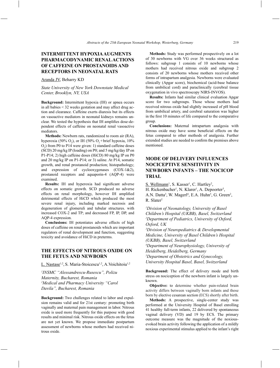#### **INTERMITTENT HYPOXIA AUGMENTS PHARMACODYNAMIC RENAL ACTIONS OF CAFFEINE ON PROSTANOIDS AND RECEPTORS IN NEONATAL RATS**

#### Aranda JV, Beharry KD

#### *State University of New York Downstate Medical Center, Brooklyn, NY, USA*

**Background:** Intermittent hypoxia (IH) or apnea occurs in all babies < 32 weeks gestation and may affect drug action and clearance. Caffeine exerts diuresis but its effects on vasoactive mediators in neonatal kidneys remains unclear. We tested the hypothesis that IH amplifies dose-dependent effects of caffeine on neonatal renal vasoactive mediators.

**Methods:** Newborn rats, randomized to room air (RA), hyperoxia (50%  $O_2$ ), or IH (50%  $O_2$ +brief hypoxia, 10%  $O_2$ ) from P0 to P14 were given: 1) standard caffeine doses  $(SCD)$  20 mg/kg IP (loading) on P0; and 5 mg/kg/day IP on P1-P14; 2) high caffeine doses (HiCD) 80 mg/kg IP on P0 and 20 mg/kg IP on P1-P14; or 3) saline. At P14, somatic growth, and renal prostanoid production; histopathology; and expression of cyclooxygenases (COX-1&2), prostanoid receptors and aquaporin-4 (AQP-4) were examined.

**Results:** IH and hyperoxia had significant adverse effects on somatic growth. SCD produced no adverse effects on renal morphology, however IH amplified detrimental effects of HiCD which produced the most severe renal injury, including marked necrosis and degeneration of glomeruli and tubular structures. with increased COX-2 and TP; and decreased FP, IP, DP, and AQP-4 expression.

**Conclusions:** IH potentiates adverse effects of high doses of caffeine on renal prostanoids which are important regulators of renal development and function, suggesting toxicity and avoidance of HiCD in preterms.

#### **THE EFFECTS OF NITROUS OXIDE ON THE FETUS AND NEWBORN**

L. Nastase<sup>1,2</sup>, S. Maria-Stoicescu<sup>1,2</sup>, A. Voichitoiu<sup>1,2</sup>

*1 INSMC "Alessandrescu-Rusescu", Polizu Maternity, Bucharest, Romania 2 Medical and Pharmacy University "Carol Davila", Bucharest, Romania*

**Background:** Two challenges related to labor and expulsion remains valid and for 21st century: promoting birth vaginally and maternal pain management in labor. Nitrous oxide is used more frequently for this purpose with good results and minimal risk. Nitrous oxide effects on the fetus are not yet known. We propose immediate postpartum assessment of newborns whose mothers had received nitrous oxide.

**Methods:** Study was performed prospectively on a lot of 30 newborns with VG over 36 weeks structured as follows: subgroup 1 consists of 10 newborns whose mothers had received nitrous oxide and subgroup 2 consists of 20 newborns whose mothers received other forms of intrapartum analgesia. Newborns were evaluated clinically (Apgar score), biochemical (acid-base balance from umbilical cord) and paraclinically (cerebral tissue oxygenation in vivo spectroscopy NIRS-INVOS).

**Results:** Infants had similar clinical evaluation Apgar score for two subgroups. Those whose mothers had received nitrous oxide had slightly increased of pH blood from umbilical artery, and cerebral saturation was higher in the first 10 minutes of life compared to the comparative group.

**Conclusions:** Maternal intrapartum analgesia with nitrous oxide may have some beneficial effects on the fetus compared to other methods of analgesia. Further extended studies are needed to confirm the premises above mentioned.

#### **MODE OF DELIVERY INFLUENCES NOCICEPTIVE SENSITIVITY IN NEWBORN INFANTS – THE NOCICOP TRIAL**

S. Wellmann<sup>1</sup>, S. Kasser<sup>1</sup>, C. Hartley<sup>2</sup>, H. Rickenbacher<sup>1</sup>, N. Klarer<sup>1</sup>, A. Depoorter<sup>3</sup>, A.N. Datta<sup>3</sup>, W. Magerl<sup>4</sup>, E.A. Huhn<sup>5</sup>, G. Green<sup>2</sup>, R. Slater2

*1 Division of Neonatology, University of Basel Children's Hospital (UKBB), Basel, Switzerland 2 Department of Pediatrics, University of Oxford, Oxford, UK 3 Division of Neuropediatrics & Developmental Medicine, University of Basel Children's Hospital (UKBB), Basel, Switzerland 4 Department of Neurophysiology, University of Heidelberg, Heidelberg, Germany*

*5 Department of Obstetrics and Gynecology, University Hospital Basel, Basel, Switzerland*

**Background:** The effect of delivery mode and birth stress on nociception of the newborn infant is largely unknown.

**Objective:** to determine whether pain-related brain activity differs between vaginally born infants and those born by elective cesarean section (ECS) shortly after birth.

**Methods:** A prospective, single-center study was performed at the University Hospital of Basel enrolling 41 healthy full-term infants, 22 delivered by spontaneous vaginal delivery (VD) and 19 by ECS. The primary outcome measure was the magnitude of the noxiousevoked brain activity following the application of a mildly noxious experimental stimulus applied to the infant's right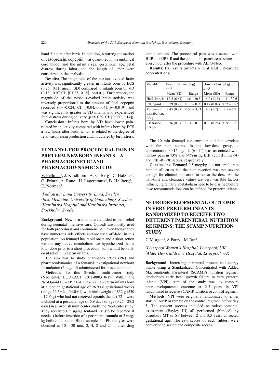hand 5 hours after birth. In addition, a surrogate marker of vasopressin, copeptin, was quantified in the umbilical cord blood, and the infant's sex, gestational age, fetal distress during labor, and the length of labor were considered in the analysis.

**Results:** The magnitude of the noxious-evoked brain activity was significantly greater in infants born by ECS  $(0.26 \pm 0.11, \text{ mean} \pm \text{SD})$  compared to infants born by VD  $(0.18 \pm 0.07 \text{ CI}$ : [0.025, 0.15], p<0.01). Furthermore, the magnitude of the noxious-evoked brain activity was inversely proportional to the amount of fetal copeptin recorded ( $β = -0.024$ , CI:  $[-0.04, -0.004]$ ,  $p = 0.019$ ), and was significantly greater in VD infants who experienced fetal distress during delivery ( $p = 0.029$ , CI: [0.009, 0.14]).

**Conclusion:** Infants born by VD have lower painrelated brain activity compared with infants born by ECS a few hours after birth, which is related to the degree of fetal vasopressin production and modulated by birth stress.

# **FENTANYL FOR PROCEDURAL PAIN IN PRETERM NEWBORN INFANTS – A PHARMACOKINETIC AND PHARMACODYNAMIC STUDY**

 $V.$  Fellman<sup>1</sup>, J. Kindblom<sup>1</sup>, A.-C. Berg<sup>1</sup>, C. Halzius<sup>3</sup>, G. Printz<sup>3</sup>, A. Rane<sup>3</sup>, H. Lagercrantz<sup>3</sup>, B. Hallberg<sup>3</sup>, E. Norman<sup>1</sup>

 *Pediatrics, Lund University, Lund, Sweden Inst. Medicine, University of Gothenburg, Sweden Karolinska Hospital and Karolinska Institutet, Stockholm, Sweden*

**Background:** Newborn infants are entitled to pain relief during neonatal intensive care. Opioids are mostly used for both procedural and continuous pain even though they have numerous side effects and are used off-label in this population. As fentanyl has rapid onset and a short action without any active metabolites, we hypothesized that a low -dose prior to a short procedural pain would be sufficient relief in preterm infants.

The aim was to study pharmacokinetics (PK) and pharmacodynamics of a fentanyl investigational newborn formulation (5mcg/ml) administered for procedural pain.

**Methods:** To this Swedish multi-center study (NeoFent-I, EUDRACT 2011-000310-19; Within the NeoOpioid EU- FP 7 GA 223767) 30 preterm infants born at a median gestational age of  $26.9 + 6$  gestational weeks (range  $26.3 + 2 - 34.0 + 1$ ) with birth weight of 852 g (530) - 1706 g) who had not received opioids the last 72 h were included at a postnatal age of 6.9 days of age (0.25 - 28.2 days) in a Swedish multicenter study, the NeoFent-I study. They received 0.5 μg/kg fentanyl i.v. (to be repeated if needed) before insertion of a peripheral cannula or 2 mcg/ kg before intubation. Blood samples for PK analyses were obtained at  $10 - 30$  min,  $2, 4, 8$  and  $24$  h after drug administration. The procedural pain was assessed with BIIP and PIPP-R and the continuous pain/stress before and every hour after the procedure with ALPS-Neo.

**Results:** PK results (infants with at least 3 measured concentrations):

| Variable                           | Dose $1(0.5 \text{ mcg/kg})$<br>$n=9$ |               | Dose $2(2 \text{ mcg/kg})$<br>$n=5$ |                          |  |
|------------------------------------|---------------------------------------|---------------|-------------------------------------|--------------------------|--|
|                                    | Mean $(SD)$                           | Range         | Mean $(SD)$                         | Range                    |  |
| Half time, h                       | 12.5(6.64)                            | $1.6 - 20.5$  | 16.0(13.5)                          | $4.1 - 32.6$             |  |
| $CO$ , ng/mL                       | 0.29(0.26)                            | $0.17 - 0.98$ | 0.47(0.09)                          | $0.32 - 0.57$            |  |
| Volume of<br>distribution.<br>L/kg | 2.45(0.87)                            | $0.52 - 3.21$ | 4.5(1.2)                            | $3.5 - 6.7$              |  |
| Clearance,<br>L/kg/h               | 0.16(0.07)                            | $0.11 - 0.30$ |                                     | $0.36(0.28)$ 0.09 – 0.71 |  |

The 10 min fentanyl concentration did not correlate with the pain scores. In the low-dose group, a concentration > 0.15 ng/mL  $(n=11)$  was associated with no/low pain in 73% and 64% using BIIP (cutoff limit <4) and PIIP-R  $(\leq 8)$  scores, respectively.

**Conclusions:** Fentanyl 0.5 mcg/kg did not ameliorate pain in all cases but the pain reaction was not severe enough for clinical indication to repeat the dose. As the half-time and clearance values are very variable factors influencing fentanyl metabolism need to be clarified before dose recommendations can be defined for preterm infants.

# **NEURODEVELOPMENTAL OUTCOME IN VERY PRETERM INFANTS RANDOMIZED TO RECEIVE TWO DIFFERENT PARENTERAL NUTRITION REGIMENS: THE SCAMP NUTRITION STUDY**

 $C$  Morgan<sup>1</sup>, S Parry<sup>1</sup>, M Tan<sup>2</sup>

#### *1 Liverpool Women's Hospital, Liverpool, UK 2 Alder Hey Children's Hospital, Liverpool, UK*

**Background:** Increasing parenteral protein and energy intake using a Standardized, Concentrated with Added Macronutrients Parenteral (SCAMP) nutrition regimen ameliorates early head growth failure in very preterm infants (VPI). Aim of the study was to compare neurodevelopmental outcome at 2-3 years in VPI randomized to receive SCAMP nutrition or control regimen.

**Methods:** VPI were originally randomized to either start SCAMP or remain on the control regimen before day 5. The consent process included neurodevelopmental assessment (Bayley III) all performed (blinded) by coauthors MT or SP between 2 and 3.5 years corrected gestational age. The raw scores of each subtest were converted to scaled and composite scores.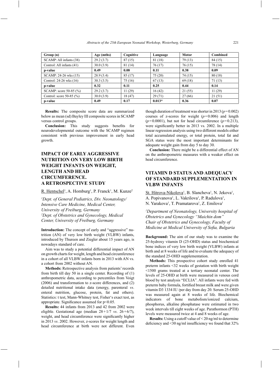| Group (n)                   | Age (mths) | Cognitive | Language | <b>Motor</b> | Combined |
|-----------------------------|------------|-----------|----------|--------------|----------|
| SCAMP: All infants (38)     | 29.2(3.7)  | 87(15)    | 81 (18)  | 79(13)       | 84 (15)  |
| Control: All infants (41)   | 30.0(3.9)  | 81 (14)   | 76(17)   | 76 (15)      | 78 (14)  |
| p-value                     | 0.49       | 0.08      | 0.11     | 0.38         | 0.09     |
| SCAMP: 24-26 wks (15)       | 28.9(3.4)  | 85 (17)   | 75 (20)  | 74 (15)      | 80(18)   |
| Control: $24-26$ wks $(16)$ | 30.3(3.5)  | 75(16)    | 67(13)   | 69(18)       | 71(13)   |
| p-value                     | 0.32       | 0.11      | 0.25     | 0.44         | 0.14     |
| SCAMP: score 50-85 $(\% )$  | 29.2(3.7)  | 11(29)    | 16(42)   | 21 (55)      | 11(29)   |
| Control: score $50-85$ (%)  | 30.0(3.9)  | 18(47)    | 29(71)   | 27(66)       | 21(51)   |
| p-value                     | 0.49       | 0.17      | $0.013*$ | 0.36         | 0.07     |

**Results:** The composite score data are summarized below as mean (sd) Bayley III composite scores in SCAMP versus control groups.

**Conclusion:** This study suggests benefits for neurodevelopmental outcome with the SCAMP regimen consistent with previous improvement in early head growth.

# **IMPACT OF EARLY AGGRESSIVE NUTRITION ON VERY LOW BIRTH WEIGHT INFANTS ON WEIGHT, LENGTH AND HEAD CIRCUMFERENCE. A RETROSPECTIVE STUDY**

R. Hentschel<sup>1</sup>, A. Homburg<sup>1</sup>, P. Franck<sup>1</sup>, M. Kunze<sup>2</sup>

*1 Dept. of General Pediatrics, Div. Neonatology/ Intensive Care Medicine, Medical Center, University of Freiburg, Germany 2 Dept. of Obstetrics and Gynecology, Medical Center, University of Freiburg, Germany*

**Introduction:** The concept of early and "aggressive" nutrition (AN) of very low birth weight (VLBW) infants, introduced by Thureen and Ziegler about 15 years ago, is nowadays standard of care.

Aim was to study a potential differential impact of AN on growth charts for weight, length and head circumference in a cohort of all VLBW infants born in 2013 with AN vs. a cohort from 2002 without AN.

**Methods:** Retrospective analysis from patients' records from birth till day 50 in a single center. Recording of (1) anthropometric data, according to percentiles from Voigt (2006) and transformation to z-score differences, and (2) detailed nutritional intake data (energy, parenteral *vs*. enteral nutrition, glucose, protein, fat and others). Statistics: t test, Mann-Whitney test, Fisher's exact test, as appropriate. Significance assumed for  $p<0.05$ .

**Results:** 44 infants from 2013 and 42 from 2002 were eligible. Gestational age (median  $28 + 1/7$  *vs.*  $26 + 6/7$ ). weight, and head circumference were significantly higher in 2013 *vs*. 2002. However, z-scores for weight length and head circumference at birth were not different. Even though duration of treatment was shorter in 2013 ( $p = 0.002$ ) courses of z-scores for weight  $(p=0.006)$  and length  $(p=0.0001)$ , but not for head circumference  $(p=0.213)$ , were significantly better in 2013 vs. 2002. In a multiple linear regression analysis using two different models either total accumulated energy, or total protein, total fat and SGA status were the most important determinants for adequate weight gain from day 5 to day 30.

**Conclusion:** There might be a differential effect of AN on the anthropometric measures with a weaker effect on head circumference.

#### **VITAMIN D STATUS AND ADEQUACY OF STANDARD SUPPLEMENTATION IN VLBW INFANTS**

St. Hitrova-Nikolova<sup>1</sup>, B. Slancheva<sup>1</sup>, N. Jekova<sup>1</sup>, A. Popivanova<sup>1</sup>, L. Vakrilova<sup>1</sup>, P. Radulova<sup>1</sup>, N. Yarakova<sup>1</sup>, T. Pramatarova<sup>1</sup>, Z. Emilova<sup>1</sup>

*1 Department of Neonatology, University hospital of Obstetrics and Gynecology "Maichin dom" Chair of Obstetrics and Gynecology, Faculty of Medicine at Medical University of Sofia, Bulgaria* 

**Background:** The aim of our study was to examine the 25-hydroxy vitamin D (25-OHD) status and biochemical bone indices of very low birth weight (VLBW) infants at birth and at 8 weeks of life and to evaluate the adequacy of the standard 25-OHD supplementation.

**Methods:** This prospective cohort study enrolled 41 preterm infants <32 weeks of gestation with birth weight <1500 grams treated at a tertiary neonatal center. The levels of 25-OHD at birth were measured in venous cord blood by test analysis "ECLIA". All infants were fed with preterm baby formula, fortified breast milk and were given vitamin D3 1334 IU /per day from day 20. Serum 25-ОНD was measured again at 8 weeks of life. Biochemical indicators of bone metabolism/ionized calcium, phosphorus, alkaline phosphatase were estimated in two week intervals till eight weeks of age. Parathormon (PTH) levels were measured twice at 4 and 8 weeks of age.

**Results:** Using a cutoff value of < 20 ng/ml to determine deficiency and <30 ng/ml insufficiency we found that  $32\%$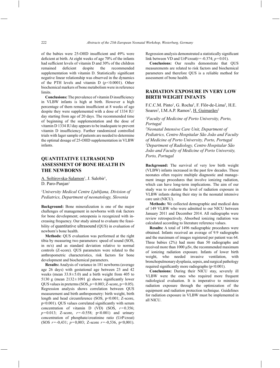of the babies were 25-OHD insufficient and 49% were deficient at birth. At eight weeks of age 70% of the infants had sufficient levels of vitamin D and 30% of the children remained deficient despite the recommended supplementation with vitamin D. Statistically significant negative linear relationship was observed in the dynamics of the PTH levels and vitamin D  $(p < 0.0001)$ . Other biochemical markers of bone metabolism were in reference limits.

**Conclusions:** The prevalence of vitamin D insufficiency in VLBW infants is high at birth. However a high percentage of them remain insufficient at 8 weeks of age despite they were supplemented with a dose of 1334 IU/ day starting from age of 20 days. The recommended time of beginning of the supplementation and the dose of vitamin D 1334 IU/day appears to be inadequate to prevent vitamin D insufficiency. Further randomized controlled trials with lager sample of patients are needed to determine the optimal dosage of 25-OHD supplementation in VLBW infants.

#### **QUANTITATIVE ULTRASOUND ASSESSMENT OF BONE HEALTH IN THE NEWBORNS**

A. Soltirovska-Salamon<sup>1</sup>, J. Salobir<sup>1</sup>, D. Paro-Panjan<sup>1</sup>

#### *1 University Medical Centre Ljubljana, Division of Pediatrics, Department of neonatology, Slovenia*

**Background:** Bone mineralization is one of the major challenges of management in newborns with risk factors for bone development; osteopenia is recognized with increasing frequency. Our study aimed to evaluate the feasibility of quantitative ultrasound (QUS) in evaluation of newborn's bone health.

**Methods:** QUS evaluation was performed at the right tibia by measuring two parameters: speed of sound (SOS, in m/s) and as standard deviation relative to normal controls (Z-score). QUS parameters were related to the anthropometric characteristics, risk factors for bone development and biochemical parameters.

**Results:** Analysis of variance in 181 newborns (average age 26 days) with gestational age between 23 and 42 weeks (mean  $33.8 \pm 5.0$ ) and a birth weight from 405 to 5130 g (mean  $2132 \pm 1091$  g) shows significantly lower QUS values in preterms  $(SOS, p=0.003; Z\text{-score}, p=0.05)$ . Regression analysis shows correlation between QUS measurement and birth anthropometry: birth weight, birth length and head circumference (SOS, p<0.001; Z-score, p<0.001). QUS values correlated significantly with serum concentration of vitamin D (VD)  $(SOS, r=0.356;$  $p=0.013$ ; Z-score,  $r=-0.558$ ;  $p<0.001$ ) and urinary concentration of phosphate/creatinine ratio (UrP/creat) (SOS  $r = -0.431$ ;  $p = 0.003$ ; Z-score  $r = -0.536$ ,  $p < 0.001$ ). Regression analysis demonstrated a statistically significant link between VD and UrP/creat( $r = -0.374$ ;  $p = 0.01$ ).

**Conclusions:** Our results demonstrate that QUS measurements are related to risk factors and biochemical parameters and therefore QUS is a reliable method for assessment of bone health.

#### **RADIATION EXPOSURE IN VERY LOW BIRTH WEIGHT INFANTS**

F.C.C.M. Pinto<sup>1</sup>, G. Rocha<sup>2</sup>, F. Flôr-de-Lima<sup>2</sup>, H.E. Soares<sup>2</sup>, I.M.A.P. Ramos<sup>3</sup>, H. Guimarães<sup>2</sup>

#### *1 Faculty of Medicine of Porto University, Porto, Portugal*

*2 Neonatal Intensive Care Unit, Department of Pediatrics, Centro Hospitalar São João and Faculty of Medicine of Porto University, Porto, Portugal 3 Department of Radiology, Centro Hospitalar São João and Faculty of Medicine of Porto University, Porto, Portugal* 

**Background:** The survival of very low birth weight (VLBW) infants increased in the past few decades. These neonates often require multiple diagnostic and management image procedures that involve ionizing radiation, which can have long-term implications. The aim of our study was to evaluate the level of radiation exposure in VLBW infants during their stay in the neonatal intensive care unit (NICU).

**Methods:** We collected demographic and medical data of 149 VLBW who were admitted to our NICU between January 2011 and December 2014. All radiographs were review retrospectively. Absorbed ionizing radiation was calculated according to literature reference values.

**Results:** A total of 1496 radiographic procedures were obtained. Infants received an average of 9.9 radiographs and the maximum of images registered per patient was 64. Three babies (2%) had more than 50 radiographs and received more than 1000 μSv, the recommended maximum of ionizing radiation exposure. Infants of lower birth weight, who needed invasive ventilation, with bronchopulmonary dysplasia, sepsis, and surgical pathology required significantly more radiographs  $(p<0.001)$ .

**Conclusions:** During their NICU stay, severely ill VLBW were the ones who required more frequent radiological evaluation. It is imperative to minimize radiation exposure through the optimization of the equipment and radiation protection technique. Guidelines for radiation exposure in VLBW must be implemented in all NICU.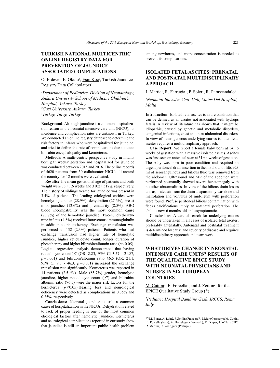# **TURKISH NATIONAL MULTICENTRIC ONLINE REGISTRY DATA FOR PREVENTION OF JAUNDICE ASSOCIATED COMPLICATIONS**

O. Erdeve<sup>1</sup>, E. Okulu<sup>1</sup>, Esin Koc<sup>2</sup>, Turkish Jaundice Registry Data Collabolators<sup>3</sup>

*1 Department of Pediatrics, Division of Neonatology, Ankara University School of Medicine Children's Hospital, Ankara, Turkey 2 Gazi University, Ankara, Turkey 3 Turkey, Turey, Turkey*

**Background:** Although jaundice is a common hospitalization reason in the neonatal intensive care unit (NICU), its incidence and complication rates are unknown in Turkey. We conducted an online registry database to determine the risk factors in infants who were hospitalized for jaundice, and tried to define the rate of complications due to acute bilirubin encephalopathy and kernicterus.

**Methods:** A multi-centric prospective study in infants born ≥35 weeks' gestation and hospitalized for jaundice was conducted between 2015 and 2016. The online records of 5620 patients from 50 collaborator NICUs all around the country for 12 months were evaluated.

**Results:** The mean gestational age of patients and birth weight were  $38 \pm 1.6$  weeks and  $3102 \pm 517$  g, respectively. The history of siblings treated for jaundice was present in 3.4% of patients. The leading etiological entities were hemolytic jaundice (28.9%), dehydration (27.6%), breast milk jaundice (12.6%) and prematurity (8.5%). ABO blood incompatibility was the most common cause (73.7%) of the hemolytic jaundice. Two-hundred-sixtynine infants (4.8%) received intravenous immunoglobulin in addition to phototherapy. Exchange transfusion was performed to 132 (2.3%) patients. Patients who had exchange transfusion had higher rate of hemolytic jaundice, higher reticulocyte count, longer duration of phototherapy and higher bilirubin/albumin ratio  $(p < 0.05)$ . Logistic regression analysis demonstrated that having reticulocyte count ≥7 (OR: 8.83, 95% Cl 3.57 - 21.87,  $p=0.001$ ) and bilirubin/albumin ratio  $\geq 6.5$  (OR: 21.1, 95% Cl 9.6 - 46.3,  $p=0.001$ ) increased the exchange transfusion rate significantly. Kernicterus was reported in 14 patients (2.5 ‰). Male (85.7%) gender, hemolytic iaundice, higher reticulocyte count  $($ >7) and bilirubin/ albumin ratio  $(≥6.5)$  were the major risk factors for the kernicterus  $(p < 0.05)$ . Hearing loss and neurological deficiency were detected as complications in 0.35% and 0.25%, respectively.

**Conclusions:** Neonatal jaundice is still a common cause of hospitalization in the NICUs. Dehydration related to lack of proper feeding is one of the most common etiological factors after hemolytic jaundice. Kernicterus and neurological complications reported in our study show that jaundice is still an important public health problem among newborns, and more concentration is needed to prevent its complications.

#### **ISOLATED FETAL ASCITES: PRENATAL AND POSTNATAL MULTIDISCIPLINARY APPROACH**

J. Martic<sup>1</sup>, R. Farrugia<sup>1</sup>, P. Soler<sup>1</sup>, R. Parascandalo<sup>1</sup>

*1 Neonatal Intensive Care Unit, Mater Dei Hospital, Malta*

**Introduction:** Isolated fetal ascites is a rare condition that can be defined as an ascites not associated with hydrops fetalis. A review of literature has shown that it might be idiopathic, caused by genetic and metabolic disorders, congenital infections, chest and intra-abdominal disorders. In view of heterogeneous underlying causes isolated fetal ascites requires a multidisciplinary approach.

**Case Report:** We report a female baby born at  $34+6$ weeks of gestation with a massive isolated ascites. Ascites was first seen on antenatal scan at  $31 + 4$  weeks of gestation. The baby was born in poor condition and required an urgent peritoneal drain insertion in the first hour of life. 923 ml of serosanguinous and bilious fluid was removed from the abdomen. Ultrasound and MR of the abdomen were performed postnatally showed severe hepatomegaly with no other abnormalities. In view of the bilious drain losses and aspirated air from the drain a laparotomy was done and malrotation and volvulus of mid-ileum with perforation were found. Profuse peritoneal bilious contamination with flecks calcifications imply an antenatal perforation. The child is now 6 months old and asymptomatic.

**Conclusions:** A careful search for underlying causes should be undertaken in all cases of isolated fetal ascites, preferably antenatally. Antenatal and postnatal treatment is determined by cause and severity of disease and requires multidisciplinary approach and team work.

# **WHAT DRIVES CHANGE IN NEONATAL INTENSIVE CARE UNITS? RESULTS OF THE QUALITATIVE EPICE STUDY WITH NEONATAL PHYSICIANS AND NURSES IN SIX EUROPEAN COUNTRIES**

 $M.$  Cuttini<sup>1</sup>, E. Forcella<sup>1</sup>, and J. Zeitlin<sup>2</sup>, for the EPICE Qualitative Study Group (\*)

*1 Pediatric Hospital Bambino Gesù, IRCCS, Roma, Italy*

**<sup>(\*)</sup>** M. Bonet, A. Lainé, J. Zeitlin (France); R. Meier (Germany); M. Cuttini, E. Forcella (Italy); A. Hasselager (Denmark); E. Draper, J. Willars (UK); A.Martins, C. Rodrigues (Portugal).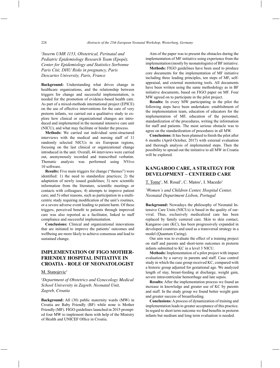*2 Inserm UMR 1153, Obstetrical, Perinatal and Pediatric Epidemiology Research Team (Epopé), Center for Epidemiology and Statistics Sorbonne Paris Cité, DHU Risks in pregnancy, Paris Descartes University, Paris, France*

**Background:** Understanding what drives change in healthcare organizations, and the relationship between triggers for change and successful implementation, is needed for the promotion of evidence-based health care. As part of a mixed-methods international project (EPICE) on the use of effective interventions for the care of very preterm infants, we carried out a qualitative study to explore how clinical or organizational changes are introduced and implemented in the neonatal intensive care unit (NICU), and what may facilitate or hinder the process.

**Methods:** We carried out individual semi-structured interviews with the medical and nursing staff of 11 randomly selected NICUs in six European regions, focusing on the last clinical or organizational change introduced in the unit. Overall, 44 interviews were carried out, anonymously recorded and transcribed verbatim. Thematic analysis was performed using NVivo 10 software.

**Results:** Five main triggers for change ("themes") were identified: 1) the need to standardize practices: 2) the adaptation of newly issued guidelines; 3) new scientific information from the literature, scientific meetings or contacts with colleagues; 4) attempts to improve patient care; and 5) other reasons, such as participation in a multicentric study requiring modification of the unit's routines. or a severe adverse event leading to patient harm. Of these triggers, perceived benefit to patients through improved care was also reported as a facilitator, linked to staff compliance and successful implementation.

**Conclusions:** Clinical and organizational innovations that are initiated to improve the patients' outcomes and wellbeing are more likely to achieve consensus and lead to sustained change.

#### **IMPLEMENTATION OF FIGO MOTHER-FRIENDLY HOSPITAL INITIATIVE IN CROATIA - ROLE OF NEONATOLOGIST**

#### M. Stanojevic<sup>1</sup>

*1 Department of Obstetrics and Gynecology Medical School University in Zagreb, Neonatal Unit, Zagreb, Croatia*

**Background:** All (30) public maternity wards (MW) in Croatia are Baby Friendly (BF) while none is Mother Friendly (MF). FIGO guidelines launched in 2015 prompted four MW to implement them with help of the Ministry of Health and UNICEF Office in Croatia.

Aim of the paper was to present the obstacles during the implementation of MF initiative using experience from the implementation (mostly by neonatologists) of BF initiative.

**Methods:** FIGO guidelines have been used to produce core documents for the implementation of MF initiative including three leading principles, ten steps of MF, selfappraisal, and external monitoring tools. All documents have been written using the same methodology as in BF initiative documents, based on FIGO paper on MF. Four MW agreed on to participate in the pilot project.

**Results:** In every MW participating in the pilot the following steps have been undertaken: establishment of the implementation team, education of educators for the implementation of MF, education of the personnel, standardization of the procedures, writing the information for staff and patients. The most serious obstacle was to agree on the standardization of procedures in all MW.

**Conclusions:** It has been planned to finish the pilot after 6 months (April-October, 2017) with external evaluation and thorough analysis of implemented steps. Then the possibility to spread out the initiative to all MW in Croatia will be explored.

#### **KANGAROO CARE, A STRATEGY FOR DEVELOPMENT – CENTERED CARE**

T. Tome<sup>1</sup>, M. Rosal<sup>1</sup>, C. Matos<sup>1</sup>, I. Macedo<sup>1</sup>

#### *1 Women´s and Children Center, Hospital Center, Neonatal Department Lisbon, Portugal*

**Background:** Nowadays the philosophy of Neonatal Intensive Care Units (NICUs) is based in the quality of survival. Thus, exclusively medicalized care has been replaced by family centered care. Skin to skin contact, Kangaroo care (KC), has been progressively expanded in developed countries and used as a transversal strategy in a model (Quantum Caring).

Our aim was to evaluate the effect of a training project on staff and parents and short-term outcomes in preterm infants submitted to KC in a level 3 NICU.

**Methods:** Implementation of a pilot project with impact evaluation by a survey in parents and staff. Case control study in which the case group received KC, compared with a historic group adjusted for gestational age. We analyzed length of stay, breast-feeding at discharge, weight gain, severe intraventricular hemorrhage and late sepsis.

**Results:** After the implementation process we found an increase in knowledge and greater use of KC by parents and staff. In the study group we found better weight gain and greater success of breastfeeding.

**Conclusions:** A process of dynamization of training and implementation leads to greater acceptance of this practice. In regard to short term outcome we find benefits in preterm infants but medium and long term evaluation is needed.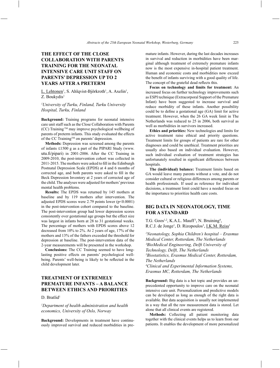# **THE EFFECT OF THE CLOSE COLLABORATION WITH PARENTS TRAINING FOR THE NEONATAL INTENSIVE CARE UNIT STAFF ON PARENTS' DEPRESSION UP TO 2 YEARS AFTER A PRETERM**

L. Lehtonen<sup>1</sup>, S. Ahlqvist-Björkroth<sup>1</sup>, A. Axelin<sup>1</sup>, Z. Boukydis<sup>1</sup>

*1 University of Turku, Finland, Turku University Hospital, Turku, Finland*

**Background:** Training programs for neonatal intensive care unit staff such as the Close Collaboration with Parents (CC) Training TM may improve psychological wellbeing of parents of preterm infants. This study evaluated the effects of the CC Training<sup> $TM$ </sup> on parents' depression.

**Methods:** Depression was screened among the parents of infants  $\leq 1500$  g as a part of the PIPARI Study (www. utu.fi/pipari) in 2001-2006. After the CC Training in 2009-2010, the post-intervention cohort was collected in 2011-2015. The mothers were asked to fill in the Edinburgh Postnatal Depression Scale (EPDS) at 4 and 6 months of corrected age, and both parents were asked to fill in the Beck Depression Inventory at 2 years of corrected age of the child. The analyses were adjusted for mothers' previous mental health problems.

**Results:** The EPDS was returned by 145 mothers at baseline and by 119 mothers after intervention. The adjusted EPDS scores were  $2.79$  points lower ( $p \le 0.0001$ ) in the post-intervention cohort compared to the baseline. The post-intervention group had lower depression scores consistently over gestational age groups but the effect size was largest in infants born at 28 to 31 gestational weeks. The percentage of mothers with EPDS scores above 12 decreased from 10% to 2%. At 2 years of age, 17% of the mothers and 13% of the fathers exceeded the threshold for depression at baseline. The post-intervention data of the 2-year measurements will be presented in the workshop.

**Conclusions:** The CC Training seemed to have longlasting positive effects on parents' psychological wellbeing. Parents' well-being is likely to be reflected in the child development later.

# **TREATMENT OF EXTREMELY PREMATURE INFANTS – A BALANCE BETWEEN ETHICS AND PRIORITIES**

D. Bratlid<sup>1</sup>

#### *1 Department of health administration and health economics, University of Oslo, Norway*

**Background:** Developments in treatment have continuously improved survival and reduced morbidities in premature infants. However, during the last decades increases in survival and reduction in morbidities have been marginal although treatment of extremely premature infants now is the most expensive in-hospital patient treatment. Human and economic costs and morbidities now exceed the benefit of infants surviving with a good quality of life. The concept of the grateful dead reflects this.

**Focus on technology and limits for treatment:** An increased focus on further technology improvements such as ESPI technique (Extracorporal Support of the Premature Infant) have been suggested to increase survival and reduce morbidity of these infants. Another possibility could be to define a gestational age  $(GA)$  limit for active treatment. However, when the 26 GA week limit in The Netherlands was reduced to 25 in 2006, both survival as well as morbidities in survivors increased.

**Ethics and priorities:** New technologies and limits for active treatment raise ethical and priority questions. Treatment limits for groups of patients are rare for other diagnoses and could be unethical. Treatment priorities are usually also based on individual evaluation. However, such individual evaluation of treatment strategies has unfortunately resulted in significant differences between hospitals

**The (individual) balance:** Treatment limits based on GA would leave many parents without a vote, and do not consider cultural or religious differences among parents or health professionals. If used as reference for individual decisions, a treatment limit could have a needed focus on the importance to prioritize health care costs.

#### **BIG DATA IN NEONATOLOGY, TIME FOR A STANDARD**

T.G.  $Goos^{1,2}$ , K.A.L. Mauff<sup>3</sup>, N. Bruining<sup>4</sup>, R.C.J. de Jonge<sup>1</sup>, D. Rizopoulos<sup>3</sup>, <u>I.K.M. Reiss</u><sup>1</sup>

*1 Neonatology, Sophia Children's hospital – Erasmus Medical Center, Rotterdam, The Netherlands ²BioMedical Engineering, Delft University of Technology, Delft, The Netherlands 3 Biostatistics, Erasmus Medical Center, Rotterdam, The Netherlands 4 Clinical and Experimental Information Systems, Erasmus MC, Rotterdam, The Netherlands*

**Background:** Big data is a hot topic and provides an unprecedented opportunity to improve care on the neonatal intensive care unit. Personalization and predictive models can be developed as long as enough of the right data is available. But data acquisition is usually not implemented in a way that all the raw measurement data is stored. Let alone that all clinical events are registered.

**Methods:** Collecting all patient monitoring data together with the clinical events helps us to learn from our patients. It enables the development of more personalized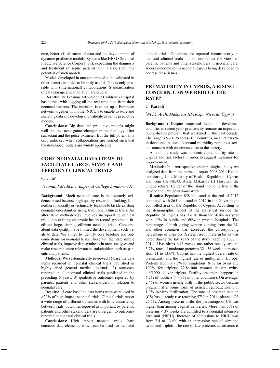care, better visualization of data and the development of dynamic predictive models. Systems like HERO (Medical Predictive Science Corporation), expediting the diagnosis and treatment of septic patients with a day, show the potential of such models.

Models developed in one center need to be validated in other centers in order to be truly useful. This is only possible with (international) collaborations. Standardization of data storage and annotation are crucial.

**Results:** The Erasmus MC – Sophia Children's Hospital has started with logging all the real-time data from their neonatal patients. The intention is to set up a European network together with other NICU's to enable to store and share big data and develop and validate dynamic predictive models.

**Conclusions:** Big data and predictive models might well be the next game changer in neonatology after surfactant and the pulse oximeter. But the full potential is only unlocked when collaborations are formed such that the developed models are widely applicable.

#### **CORE NEONATAL DATA ITEMS TO FACILITATE LARGE, SIMPLE AND EFFICIENT CLINICAL TRIALS**

C. Gale<sup>1</sup>

#### *1 Neonatal Medicine, Imperial College London, UK*

**Background:** Much neonatal care is inadequately evidence based because high quality research is lacking. It is neither financially or technically feasible to tackle existing neonatal uncertainties using traditional clinical trials. An alternative methodology involves incorporating clinical trials into existing electronic health record systems to facilitate large, simple, efficient neonatal trials. Concerns about data quality have limited the development such trials to date. We aimed to identify core baseline and outcome items for neonatal trials. These will facilitate simple clinical trials, improve data synthesis in meta-analyses and make research more relevant to stakeholders such as parents and patients.

**Methods:** We systematically reviewed 1) baseline data items recorded in neonatal clinical trials published in highly cited general medical journals;  $2$ ) outcomes reported in all neonatal clinical trials published in the preceding 5 years; 3) qualitative outcomes reported by parents, patients and other stakeholders in relation to neonatal care.

**Results:** 15 core baseline data items were were used in >20% of high impact neonatal trials. Clinical trials report a wide range of different outcomes with little consistency between trials; outcomes reported as important by parents, patients and other stakeholders are divergent to outcomes reported in neonatal clinical trials.

**Conclusions:** High impact neonatal trials share common data elements, which can be used for neonatal clinical trials. Outcomes are reported inconsistently in neonatal clinical trials and do not reflect the views of parents, patients and other stakeholders in neonatal care. A core outcome set in neonatal care is being developed to address these issues.

#### **PREMATURITY IN CYPRUS, A RISING CONCERN. CAN WE REDUCE THE RATE?**

C. Karaoli<sup>1</sup>

*1 NICU Arch. Makarios III Hosp., Nicosia, Cyprus*

**Background:** Despite improved health in developed countries in recent years prematurity remains an important public-health problem that worsened in the past decade. The range is  $5 - 18\%$  across 183 countries, mean rate  $8.6\%$ in developed nations. Neonatal morbidity remains a serious concern with enormous costs to the society.

Aim of the study was to identify prematurity rate in Cyprus and risk factors in order to suggest measures for improvement.

**Methods:** In a retrospective epidemiological study we analyzed data from the perinatal report 2008-2014 Health monitoring Unit, Ministry of Health, Republic of Cyprus and from the NICU, Arch. Makarios III Hospital, the unique referral Center of the island including live births beyond the 23th gestational week.

**Results:** Population 858 thousand at the end of 2013 compared with 865 thousand in 2012 in the Government controlled area of the Republic of Cyprus. According to the demographic report of the statistical service the Republic of Cyprus has 9 - 10 thousand deliveries/year with 40% in public and 60% in private hospitals. The percentage of birth giving women coming from the EU and other countries has exceeded the corresponding percentage of Cypriots. A steep rise in preterm births was noted during the last years of the study reaching 13% in 2014. Live births <32 weeks are rather steady around 3.7%, rates of moderate preterms 32 - 36 weeks increased from 11 to 13.6%. Cyprus has the highest overall rate of prematurity and the highest rate of multiples in Europe. Preterm labor is 7.5% for singletons, 61% for twins and 100% for triplets; 22.8/1000 women deliver twins, 4.6/1000 deliver triplets. Fertility treatment happens in 6.2% of mothers (1 - 3% in other countries). On average, 2.4% of women giving birth in the public sector became pregnant after some form of assisted reproduction with 1.9% in-vitro fertilization. The rate of cesarean section (CS) has a steady rise reaching 57% in 2014, planned CS 27.5%. Among preterm births the percentage of CS was higher than among vaginal deliveries. More than 50% of preterms < 37 weeks are admitted to a neonatal intensive care unit (NICU). Increase of admissions to NICU was from 7.4 to 13.4% with an increasing rate of admitted twins and triplets. The rate of late preterms admissions is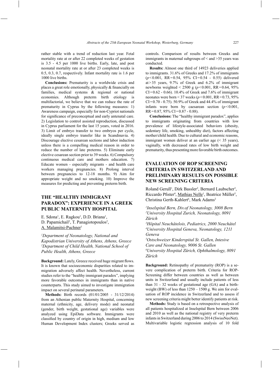rather stable with a trend of reduction last year. Fetal mortality rate at or after 22 completed weeks of gestation is 3.5 - 4.5 per 1000 live births. Early, late, and post neonatal mortality rate at or after 23 completed weeks is 0.5, 0.3, 0.7, respectively. Infant mortality rate is 1.6 per 1000 live births.

**Conclusions:** Prematurity is a worldwide crisis and places a great role emotionally, physically  $\&$  financially on families, medical systems & regional or national economies. Although preterm birth etiology is multifactorial, we believe that we can reduce the rate of prematurity in Cyprus by the following measures: 1) Awareness campaign, especially for non-Cypriot nationals for significance of preconceptual and early antenatal care. 2) Legislation to control assisted reproduction, discussed in Cyprus parliament for the last 15 years, voted in 2016. 3) Limit of embryo transfer to two embryos per cycle, ideally single embryo transfer like in Scandinavia. 4) Discourage elective cesarean sections and labor induction unless there is a compelling medical reason in order to reduce the number of late preterms. 5) Eliminate early elective cesarean section prior to 39 weeks. 6) Compulsory continuous medical care and mothers education. 7) Educate women - especially migrants - and health care workers managing pregnancies. 8) Prolong interval between pregnancies to 12-18 months. 9) Aim for appropriate weight and no smoking. 10) Improve the measures for predicting and preventing preterm birth.

# **THE "HEALTHY IMMIGRANT PARADOX": EXPERIENCE IN A GREEK PUBLIC MATERNITY HOSPITAL**

E. Sdona<sup>1</sup>, E. Ragkou<sup>1</sup>, D.D. Briana<sup>1</sup>, D. Papamichail<sup>2</sup>, T. Panagiotopoulos<sup>2</sup>, A. Malamitsi-Puchner<sup>1</sup>

*1 Department of Neonatology, National and Kapodistrian University of Athens, Athens, Greece 2 Department of Child Health, National School of Public Health, Athens, Greece*

**Background:** Lately, Greece received huge migrant flows. It is known that socioeconomic disparities related to immigration adversely affect health. Nevertheless, current studies refer to the "healthy immigrant paradox", implying more favorable outcomes in immigrants than in native counterparts. This study aimed to investigate immigration impact on several perinatal parameters.

**Methods:** Birth records (01/01/2005 - 31/12/2014) from an Athenian public Maternity Hospital, concerning maternal (ethnicity, age, delivery mode) and neonatal (gender, birth weight, gestational age) variables were analyzed using EpiData software. Immigrants were classified by country of origin in high, medium and low Human Development Index clusters; Greeks served as controls. Comparison of results between Greeks and immigrants in maternal subgroups of < and >35 years was conducted.

**Results:** Almost one third of 14923 deliveries applied to immigrants. 31.6% of Greeks and 17.2% of immigrants ( $p$  < 0.001, RR = 0.54, 95% CI = 0.54 - 0.55) delivered at > 35 years,  $9.7\%$  of Greek and 6.2% of immigrant newborns weighted < 2500 g ( $p$  < 0.001, RR = 0.64, 95%  $CI = 0.62 - 0.66$ . 10.4% of Greek and 7.6% of immigrant neonates were born < 37 weeks ( $p$  < 0.001, RR = 0.73, 95%)  $CI = 0.70 - 0.75$ . 50.9% of Greek and 44.4% of immigrant infants were born by caesarean section  $(p < 0.001$ .  $RR = 0.87, 95\%$  CI = 0.87 - 0.88).

**Conclusions:** The "healthy immigrant paradox", applies to immigrants originating from countries with low prevalence of lifestyle-associated behaviors (obesity, sedentary life, smoking, unhealthy diet), factors affecting mother/child health. Due to cultural and economic reasons, immigrant women deliver at an earlier age (< 35 years), vaginally, with decreased rates of low birth weight and prematurity, thus presenting more favorable birth outcomes.

#### **EVALUATION OF ROP SCREENING CRITERIA IN SWITZERLAND AND PRELIMINARY RESULTS ON POSSIBLE NEW SCREENING CRITERIA**

Roland Gerull<sup>1</sup>, Dirk Bassler<sup>2</sup>, Bernard Laubscher<sup>3</sup>, Riccardo Pfister<sup>4</sup>, Mathias Nelle<sup>1</sup>, Beatrice Müller<sup>5</sup>, Christina Gerth-Kahlert<sup>6</sup>, Mark Adams<sup>2</sup>

*1 Inselspital Bern, Div.of Neonatology, 3008 Bern 2 University Hospital Zurich, Neonatology, 8091 Zürich*

*3 Hôpital Neuchâtelois, Pediatrics, 2000 Neuchâtel 4 University Hospital Geneva, Neonatology, 1211 Geneva*

*5 Ostschweizer Kinderspital St. Gallen, Intesive Care and Neonatology, 9006 St. Gallen 6 University Hospital Zürich, Ophthalmology, 8091 Zürich*

**Background:** Retinopathy of prematurity (ROP) is a severe complication of preterm birth. Criteria for ROP-Screening differ between countries as well as between units in Switzerland and usually include patients of less than 31 - 32 weeks of gestational age (GA) and a birthweight (BW) of less than  $1250 - 1500$  g. We aim for evaluation of ROP incidence in Switzerland and to assess if new screening criteria might better identify patients at risk.

**Methods:** Study is based on a retrospective analysis of all patients hospitalized at Inselspital Bern between 2006 and 2010 as well as the national registry of very preterm infants in Switzerland during 2006 to 2014 (SwissNeoNet). Multivariable logistic regression analysis of 10 fold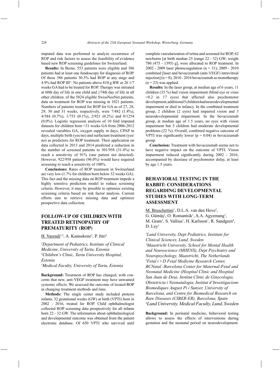imputed data was performed to analyze occurrence of ROP and risk factors to assess the feasibility of evidence based new ROP screening guidelines for Switzerland.

**Results:** In Berne, 553 patients were eligible and 386 patients had at least one fundoscopy for diagnosis of ROP. Of these 386 patients 30.3% had ROP at any stage and 4.9% had ROP III°. No patients above 810 g BW or 26 1/7 weeks GA had to be treated for ROP. Therapy was initiated at 60th day of life in one child and  $\geq$ 74th day of life in all other children. of the 5824 eligible SwissNeoNet patients, data on treatment for ROP was missing in 1021 patients. Numbers of patients treated for ROP for GA as of 27, 28, 29, 30 and 31 weeks, respectively, were 7/482 (1.4%), 4/584 (0.7%), 1/753 (0.1%), 2/921 (0.2%) and 0/1254 (0.0%). Logistic regression analysis of 10 fold imputed datasets for children born <31 weeks GA from 2006-2012 revealed variables GA, oxygen supply in days, CPAP in days, multiple birth (yes/no) and surfactant treatment (yes/ no) as predictors for ROP treatment. Their application on data collected in 2013 and 2014 predicted a reduction in the number of screened patients to 301/958 (31.4%) to reach a sensitivity of 91% (one patient not detected). However, 922/958 patients (96.0%) would have required screening to reach a sensitivity of 100%.

**Conclusions:** Rates of ROP treatment in Switzerland are very low (1.7% for children born below 32 weeks GA). This fact and the missing data on ROP treatment impede a highly sensitive prediction model to reduce screening criteria. However, it may be possible to optimize existing screening criteria based on risk factor analysis. Current efforts aim to retrieve missing data and optimize prospective data collection.

#### **FOLLOW-UP OF CHILDREN WITH TREATED RETINOPATHY OF PREMATURITY (ROP)**

H. Varendi<sup>1,2</sup>, A. Kannukene<sup>3</sup>, P. Jüri<sup>2</sup>

*1 Department of Pediatrics, Institute of Clinical Medicine, University of Tartu, Estonia 2 Children's Clinic, Tartu University Hospital, Estonia*

*3 Medical Faculty, University of Tartu, Estonia*

**Background:** Treatment of ROP has changed, with concerns that new, anti-VEGF treatment may have unwanted systemic effects. We assessed the outcome of treated ROP in changing treatment methods and time.

**Methods:** The single center study included preterm infants, 32 gestational weeks (GW) at birth (VPTI) born in 2002 - 2016, treated for ROP. Child ophthalmologist collected ROP screening data prospectively for all infants born 22 - 32 GW. The information about ophthalmological and developmental outcome was obtained from the patient electronic database. Of 650 VPTI who survived until complete vascularization of retina and screened for ROP, 62 newborns [at birth median 25 (range 22 - 32) GW; weight 780 (475 - 1395) g], were allocated to ROP treatment. In 2002 - 2009 laser photocoagulation (n = 31); 2009 - 2010 combined [laser and bevacizumab (anti-VEGF) intravitreal injection]  $(n=8)$ ; 2010 - 2016 bevacizumab as monotherapy  $(n = 23)$  was applied.

**Results:** In the laser group, at median age of 6 years, 11 children (35 %) had vision impairment (blind eye or visus <0.2 in 17 eyes) that affected also psychomotor development; additional 5 children had neurodevelopmental impairment or died in infancy. In the combined treatment group, 2 children (2 eyes) had impaired vision and 3 neurodevelopmental impairment. In the bevacizumab group, at median age of 1.5 years, no eyes with vision impairment but 5 children had moderate developmental problems (22 %). Overall, combined negative outcome of VPTI was significantly lower ( $p = 0.04$ ) in bevacizumab group.

**Conclusion:** Treatment with bevacizumab seems not to have negative impact on the outcome of VPTI. Vision impairment reduced significantly during 2002 - 2016, accompanied by decrease of psychomotor delay, at least by age 1.5 years.

# **BEHAVIORAL TESTING IN THE RABBIT: CONSIDERATIONS REGARDING DEVELOPMENTAL STUDIES WITH LONG-TERM ASSESSMENT**

M. Bruschettini<sup>1</sup>, D.L.A. van den Hove<sup>2</sup>, G. Gümüş<sup>3</sup>, O. Romantsik<sup>1</sup>, A.A. Agyemang<sup>1</sup>, M. Gram<sup>1</sup>, S. Vallius<sup>1</sup>, H. Karlsson<sup>1</sup>, R. Sandgren<sup>4</sup>,  $D.$  Lev<sup>1</sup>

*1 Lund University, Dept Pediatrics, Institute for Clinical Sciences, Lund, Sweden ²Maastricht University, School for Mental Health and Neuroscience (MHENS), Dept Psychiatry and Neuropsychology, Maastricht, The Netherlands 3 Fetal i + D Fetal Medicine Research Center, BCNatal -Barcelona Center for Maternal-Fetal and Neonatal Medicine (Hospital Clinic and Hospital San Juan de Deu), Institut Clinic de Ginecologia, Obstetricia i Neonatalogia, Institut d'Investigacions Biomediques August Pi i Sunyer, University of Barcelona, and Centre for Biomedical Research on Rare Diseases (CIBER-ER), Barcelona, Spain 4 Lund University, Medical Faculty, Lund, Sweden*

**Background:** In perinatal medicine, behavioral testing allows to assess the effects of interventions during gestation and the neonatal period on neurodevelopment.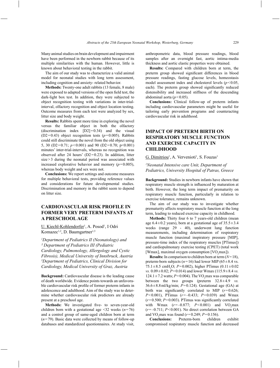Many animal studies on brain development and impairment have been performed in the newborn rabbit because of its multiple similarities with the human. However, little is known about behavioral testing in the rabbit.

The aim of our study was to characterize a valid animal model for neonatal studies with long term assessment, including cognition and anxiety- related behavior.

**Methods:** Twenty-one adult rabbits (13 female, 8 male) were exposed to adapted versions of the open field test, the dark-light box test. In addition, they were subjected to object recognition testing with variations in inter-trialinterval, olfactory recognition and object location testing. Outcome measures from each test were analyzed by sex, litter size and body weight.

**Results:** Rabbits spent more time in exploring the novel versus the familiar object in both the olfactory (discrimination index  $[D2] = 0.34$ ) and the visual  $(D2=0.43)$  object recognition tests  $(p=0.005)$ . Rabbits could still discriminate the novel from the old object using 5, 30 (D2=0.71;  $p < 0.001$ ) and 90 (D2=0.70;  $p < 0.001$ ) minutes' inter-trial-intervals, whereas no recognition was observed after 24 hours' ( $D2=0.23$ ). In addition, litter size > 3 during the neonatal period was associated with increased explorative behavior and memory  $(p=0.005)$ . whereas body weight and sex were not.

**Conclusions:** We report settings and outcome measures for multiple behavioral tests, providing reference values and considerations for future developmental studies. Discrimination and memory in the rabbit seem to depend on litter size.

#### **CARDIOVASCULAR RISK PROFILE IN FORMER VERY PRETERM INFANTS AT A PRESCHOOL AGE**

U. Kiechl-Kohlendorfer<sup>1</sup>, A. Posod<sup>1</sup>, I Odri Komazec<sup>1,2</sup>, D. Baumgartner<sup>1,3</sup>

*1 Department of Pediatrics II (Neonatology) and ² Department of Pediatrics III (Pediatric Cardiology, Pulmonology, Allergology and Cystic Fibrosis), Medical University of Innsbruck, Austria 3 Department of Pediatrics, Clinical Division for Cardiology, Medical University of Graz, Austria*

**Background:** Cardiovascular disease is the leading cause of death worldwide. Evidence points towards an unfavorable cardiovascular risk profile of former preterm infants in adolescence and adulthood. Aim of the study was to determine whether cardiovascular risk predictors are already present at a preschool age.

Methods: We investigated five- to seven-year-old children born with a gestational age  $\leq 32$  weeks  $(n=76)$ and a control group of same-aged children born at term  $(n=79)$ . Basic data were collected by means of follow-up databases and standardized questionnaires. At study visit, anthropometric data, blood pressure readings, blood samples after an overnight fast, aortic intima-media thickness and aortic elastic properties were obtained.

**Results:** Compared with children born at term, the preterm group showed significant differences in blood pressure readings, fasting glucose levels, homeostasis model assessment index and cholesterol levels  $(p < 0.05$ , each). The preterm group showed significantly reduced distensibility and increased stiffness of the descending abdominal aorta ( $p < 0.05$ ).

**Conclusions:** Clinical follow-up of preterm infants including cardiovascular parameters might be useful for tailoring early prevention programs and counteracting cardiovascular risk in adulthood.

# **IMPACT OF PRETERM BIRTH ON RESPIRATORY MUSCLE FUNCTION AND EXERCISE CAPACITY IN CHILDHOOD**

G. Dimitriou<sup>1</sup>, A. Vervenioti<sup>1</sup>, S. Fouzas<sup>1</sup>

#### *1 Neonatal Intensive care Unit, Department of Pediatrics, University Hospital of Patras, Greece*

**Background:** Studies in newborn infants have shown that respiratory muscle strength is influenced by maturation at birth. However, the long term impact of prematurity on respiratory muscle function, particularly in relation to exercise tolerance, remains unknown.

The aim of our study was to investigate whether prematurity affects respiratory muscle function at the long term, leading to reduced exercise capacity in childhood.

**Methods:** Thirty four 6 to 7 years-old children (mean age  $6.4 \pm 0.2$  years), born at a gestational age of  $35.5 \pm 3.4$ weeks (range 29 - 40), underwent lung function measurements, including determination of respiratory muscle function (maximal inspiratory pressure [MIP], pressure-time index of the respiratory muscles [PTimus]) and cardiopulmonary exercise testing (CPET) (total work [Wmax], maximal oxygen consumption [ $VO<sub>2</sub>$ max]).

**Results:** In comparison to children born at term  $(N=18)$ , preterm-born subjects ( $n = 16$ ) had lower MIP ( $65 \pm 8.4$  vs. 75.1  $\pm$  8.5 cmH<sub>2</sub>O; *P*=0.002), higher PTimus (0.11 $\pm$ 0.02 *vs.*  $0.09 \pm 0.02$ ;  $P = 0.014$ ) and lower Wmax (115.9  $\pm$  8.4 *vs.*) 124.1  $\pm$  7.2 watts; *P*=0.004). The VO<sub>2</sub>max was comparable between the two groups (preterm  $32.8 \pm 4.9$  *vs.*  $36.6 \pm 8.8$  ml/kg/min;  $P = 0.124$ ). Gestational age (GA) at birth was significantly correlated to MIP  $(r=0.626)$ ;  $P < 0.001$ ), PTimus ( $r = -0.433$ ;  $P = 0.039$ ) and Wmax  $(r=0.500; P=0.003)$ . PTimus was significantly correlated with Wmax  $(r = -0.877; P < 0.001)$  and VO<sub>2</sub>max  $(r = -0.711; P \le 0.001)$ . No direct correlation between GA and VO<sub>2</sub>max was found ( $r = 0.249$ ;  $P = 0.156$ ).

**Conclusions:** Preterm-born children exhibit compromised respiratory muscle function and decreased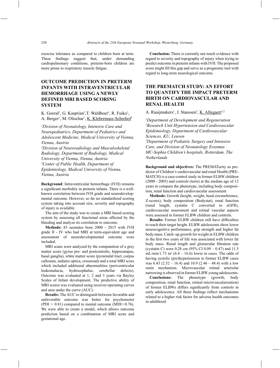exercise tolerance as compared to children born at term. These findings suggest that, under demanding cardiopulmonary conditions, preterm-born children are more prone to respiratory muscle fatigue.

#### **OUTCOME PREDICTION IN PRETERM INFANTS WITH INTRAVENTRICULAR HEMORRHAGE USING A NEWLY DEFINED MRI BASED SCORING SYSTEM**

K. Goeral<sup>1</sup>, G. Kasprian<sup>2</sup>, T. Waldhoer<sup>3</sup>, R. Fuiko<sup>1</sup>, A. Berger<sup>1</sup>, M. Olischar<sup>1</sup>, <u>K. Klebermass-Schrehof</u><sup>1</sup>

*1 Division of Neonatology, Intensive Care and Neuropediatrics, Department of Pediatrics and Adolescent Medicine, Medical University of Vienna, Vienna, Austria*

*2 Division of Neuroradiology and Musculoskeletal Radiology, Department of Radiology, Medical University of Vienna, Vienna, Austria 3 Center of Public Health, Department of Epidemiology, Medical University of Vienna, Vienna, Austria*

**Background**: Intraventricular hemorrhage (IVH) remains a significant morbidity in preterm infants. There is a wellknown correlation between IVH grade and neurodevelopmental outcome. However, so far no standardized scoring system taking into account size, severity and topography of injury is available.

The aim of the study was to create a MRI based scoring system by assessing all functional areas affected by the bleeding and analyze its correlation to outcome.

**Methods:** 83 neonates born 2000 - 2015 with IVH grade II - IV who had MRI at term-equivalent age and assessment of neurodevelopmental outcome were included.

MRI scans were analyzed by the computation of a grey matter score (gyrus pre- and postcentralis, hippocampus, basal ganglia), white matter score (pyramidal tract, corpus callosum, radiatio optica, crossroad) and a total MRI score which included additional abnormalities (periventricular leukomalacia, hydrocephalus, cerebellar defects). Outcome was evaluated at 1, 2 and 3 years via Bayley Scales of Infant development. The predictive ability of MRI scores was evaluated using receiver-operating curves and area under the curve (AUC).

**Results:** The AUC to distinguish between favorable and unfavorable outcome was better for psychomotor  $( PDI = 0.81)$  compared to mental outcome  $(MDI = 0.76)$ . We were able to create a model, which allows outcome prediction based on a combination of MRI score and gestational age.

**Conclusion:** There is currently not much evidence with regard to severity and topography of injury when trying to predict outcome in preterm infants with IVH. The proposed score might fill this gap and serve as a prognostic tool with regard to long-term neurological outcome.

# **THE PREMATCH STUDY: AN EFFORT TO QUANTIFY THE IMPACT PRETERM BIRTH ON CARDIOVASCULAR AND RENAL HEALTH**

A. Raaijmakers<sup>1</sup>, J. Staessen<sup>2</sup>, <u>K. Allegaert</u><sup>1,2</sup>

*1 Department of Development and Regeneration 2 Research Unit Hypertension and Cardiovascular Epidemiology, Department of Cardiovascular Sciences, KU, Leuven*

*3 Department of Pediatric Surgery and Intensive Care, and Division of Neonatology Erasmus MC-Sophia Children's hospitals, Rotterdam, The Netherlands*

**Background and objectives:** The PREMATurity as predictor of Children's cardiovascular and renal Health (PRE-MATCH) is a case-control study in former ELBW children (2000 - 2005) and controls (term) at the median age of 12 years to compare the phenotype, including body composition, renal function and cardiovascular assessment.

**Methods:** Growth (height, weight, head circumference, Z-scores), body composition (Bodystat), renal function (renal length, cystatin C converted to eGFR), cardiovascular assessment and retinal vascular aspects were assessed in former ELBW children and controls.

**Results:** Former ELBW children still have difficulties to reach their target height. ELBW adolescents show lower neurocognitive performance, grip strength and higher fat body mass. Catch–up growth for weight in ELBW children in the first two years of life was associated with lower fat body mass. Renal length and glomerular filtration rate (cystatin C) were 0.28 cm  $(95\% \text{ CI } 0.09 - 0.47)$  and 11.5 mL/min/1.73 m<sup>2</sup> (6.4 – 16.6) lower in cases. The odds of having systolic (pre)hypertension in former ELBW cases was  $6.43$   $(2.52 - 16.4)$  and  $10.9$   $(2.46 - 48.4)$  with a low renin mechanism. Microvascular retinal arteriolar narrowing is observed in former ELBW young adolescents.

**Conclusions:** The phenotype (growth, body composition, renal function, retinal microvascularization) of former ELBWs differs significantly from controls in early adolescence. All these findings reflect mechanisms related to a higher risk factor for adverse health outcomes in adulthood.